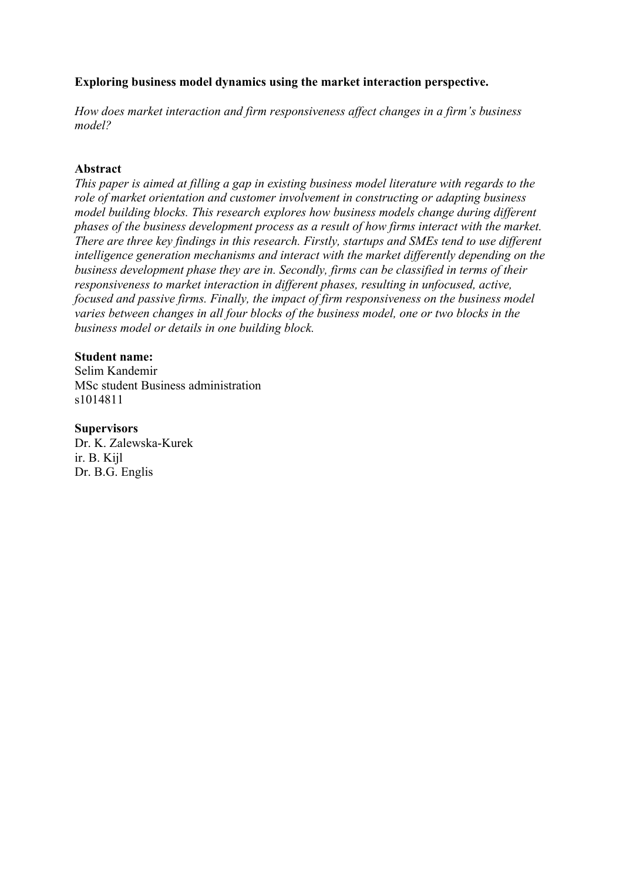### **Exploring business model dynamics using the market interaction perspective.**

*How does market interaction and firm responsiveness affect changes in a firm's business model?*

### **Abstract**

*This paper is aimed at filling a gap in existing business model literature with regards to the role of market orientation and customer involvement in constructing or adapting business model building blocks. This research explores how business models change during different phases of the business development process as a result of how firms interact with the market. There are three key findings in this research. Firstly, startups and SMEs tend to use different intelligence generation mechanisms and interact with the market differently depending on the business development phase they are in. Secondly, firms can be classified in terms of their responsiveness to market interaction in different phases, resulting in unfocused, active, focused and passive firms. Finally, the impact of firm responsiveness on the business model varies between changes in all four blocks of the business model, one or two blocks in the business model or details in one building block.*

### **Student name:**

Selim Kandemir MSc student Business administration s1014811

### **Supervisors**

Dr. K. Zalewska-Kurek ir. B. Kijl Dr. B.G. Englis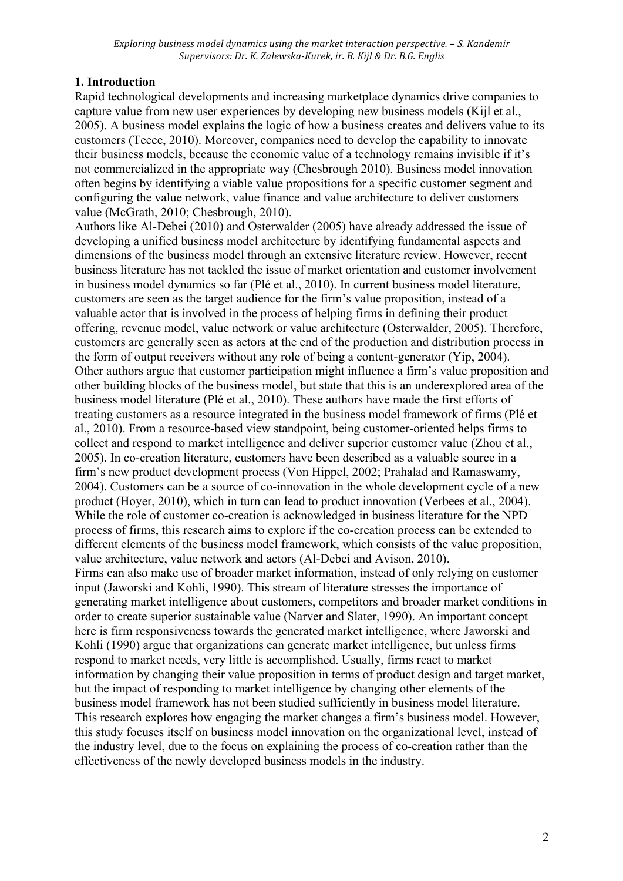# **1. Introduction**

Rapid technological developments and increasing marketplace dynamics drive companies to capture value from new user experiences by developing new business models (Kijl et al., 2005). A business model explains the logic of how a business creates and delivers value to its customers (Teece, 2010). Moreover, companies need to develop the capability to innovate their business models, because the economic value of a technology remains invisible if it's not commercialized in the appropriate way (Chesbrough 2010). Business model innovation often begins by identifying a viable value propositions for a specific customer segment and configuring the value network, value finance and value architecture to deliver customers value (McGrath, 2010; Chesbrough, 2010).

Authors like Al-Debei (2010) and Osterwalder (2005) have already addressed the issue of developing a unified business model architecture by identifying fundamental aspects and dimensions of the business model through an extensive literature review. However, recent business literature has not tackled the issue of market orientation and customer involvement in business model dynamics so far (Plé et al., 2010). In current business model literature, customers are seen as the target audience for the firm's value proposition, instead of a valuable actor that is involved in the process of helping firms in defining their product offering, revenue model, value network or value architecture (Osterwalder, 2005). Therefore, customers are generally seen as actors at the end of the production and distribution process in the form of output receivers without any role of being a content-generator (Yip, 2004). Other authors argue that customer participation might influence a firm's value proposition and other building blocks of the business model, but state that this is an underexplored area of the business model literature (Plé et al., 2010). These authors have made the first efforts of treating customers as a resource integrated in the business model framework of firms (Plé et al., 2010). From a resource-based view standpoint, being customer-oriented helps firms to collect and respond to market intelligence and deliver superior customer value (Zhou et al., 2005). In co-creation literature, customers have been described as a valuable source in a firm's new product development process (Von Hippel, 2002; Prahalad and Ramaswamy, 2004). Customers can be a source of co-innovation in the whole development cycle of a new product (Hoyer, 2010), which in turn can lead to product innovation (Verbees et al., 2004). While the role of customer co-creation is acknowledged in business literature for the NPD process of firms, this research aims to explore if the co-creation process can be extended to different elements of the business model framework, which consists of the value proposition, value architecture, value network and actors (Al-Debei and Avison, 2010). Firms can also make use of broader market information, instead of only relying on customer input (Jaworski and Kohli, 1990). This stream of literature stresses the importance of generating market intelligence about customers, competitors and broader market conditions in order to create superior sustainable value (Narver and Slater, 1990). An important concept here is firm responsiveness towards the generated market intelligence, where Jaworski and Kohli (1990) argue that organizations can generate market intelligence, but unless firms respond to market needs, very little is accomplished. Usually, firms react to market information by changing their value proposition in terms of product design and target market, but the impact of responding to market intelligence by changing other elements of the business model framework has not been studied sufficiently in business model literature. This research explores how engaging the market changes a firm's business model. However, this study focuses itself on business model innovation on the organizational level, instead of the industry level, due to the focus on explaining the process of co-creation rather than the effectiveness of the newly developed business models in the industry.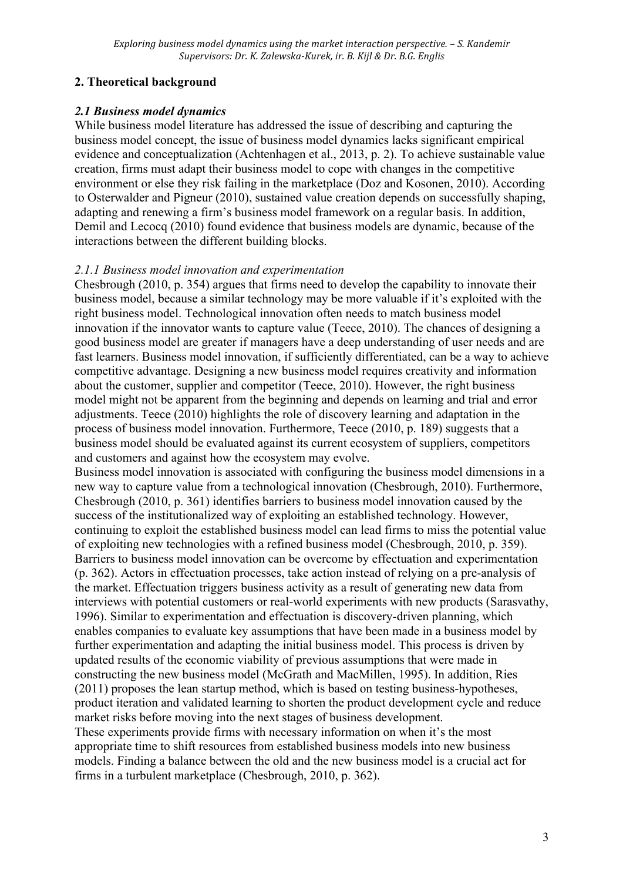# **2. Theoretical background**

# *2.1 Business model dynamics*

While business model literature has addressed the issue of describing and capturing the business model concept, the issue of business model dynamics lacks significant empirical evidence and conceptualization (Achtenhagen et al., 2013, p. 2). To achieve sustainable value creation, firms must adapt their business model to cope with changes in the competitive environment or else they risk failing in the marketplace (Doz and Kosonen, 2010). According to Osterwalder and Pigneur (2010), sustained value creation depends on successfully shaping, adapting and renewing a firm's business model framework on a regular basis. In addition, Demil and Lecocq (2010) found evidence that business models are dynamic, because of the interactions between the different building blocks.

## *2.1.1 Business model innovation and experimentation*

Chesbrough (2010, p. 354) argues that firms need to develop the capability to innovate their business model, because a similar technology may be more valuable if it's exploited with the right business model. Technological innovation often needs to match business model innovation if the innovator wants to capture value (Teece, 2010). The chances of designing a good business model are greater if managers have a deep understanding of user needs and are fast learners. Business model innovation, if sufficiently differentiated, can be a way to achieve competitive advantage. Designing a new business model requires creativity and information about the customer, supplier and competitor (Teece, 2010). However, the right business model might not be apparent from the beginning and depends on learning and trial and error adjustments. Teece (2010) highlights the role of discovery learning and adaptation in the process of business model innovation. Furthermore, Teece (2010, p. 189) suggests that a business model should be evaluated against its current ecosystem of suppliers, competitors and customers and against how the ecosystem may evolve.

Business model innovation is associated with configuring the business model dimensions in a new way to capture value from a technological innovation (Chesbrough, 2010). Furthermore, Chesbrough (2010, p. 361) identifies barriers to business model innovation caused by the success of the institutionalized way of exploiting an established technology. However, continuing to exploit the established business model can lead firms to miss the potential value of exploiting new technologies with a refined business model (Chesbrough, 2010, p. 359). Barriers to business model innovation can be overcome by effectuation and experimentation (p. 362). Actors in effectuation processes, take action instead of relying on a pre-analysis of the market. Effectuation triggers business activity as a result of generating new data from interviews with potential customers or real-world experiments with new products (Sarasvathy, 1996). Similar to experimentation and effectuation is discovery-driven planning, which enables companies to evaluate key assumptions that have been made in a business model by further experimentation and adapting the initial business model. This process is driven by updated results of the economic viability of previous assumptions that were made in constructing the new business model (McGrath and MacMillen, 1995). In addition, Ries (2011) proposes the lean startup method, which is based on testing business-hypotheses, product iteration and validated learning to shorten the product development cycle and reduce market risks before moving into the next stages of business development. These experiments provide firms with necessary information on when it's the most

appropriate time to shift resources from established business models into new business models. Finding a balance between the old and the new business model is a crucial act for firms in a turbulent marketplace (Chesbrough, 2010, p. 362).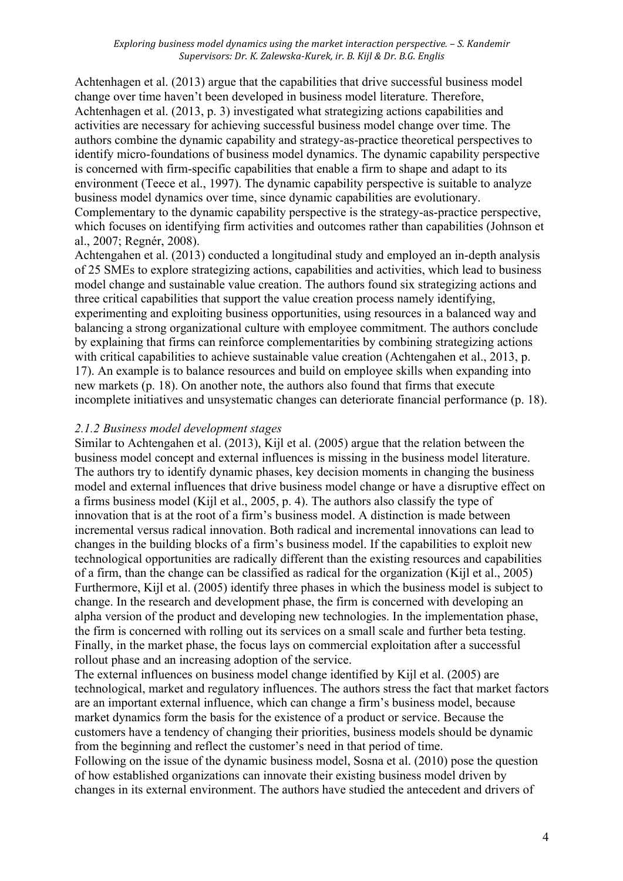Achtenhagen et al. (2013) argue that the capabilities that drive successful business model change over time haven't been developed in business model literature. Therefore, Achtenhagen et al. (2013, p. 3) investigated what strategizing actions capabilities and activities are necessary for achieving successful business model change over time. The authors combine the dynamic capability and strategy-as-practice theoretical perspectives to identify micro-foundations of business model dynamics. The dynamic capability perspective is concerned with firm-specific capabilities that enable a firm to shape and adapt to its environment (Teece et al., 1997). The dynamic capability perspective is suitable to analyze business model dynamics over time, since dynamic capabilities are evolutionary. Complementary to the dynamic capability perspective is the strategy-as-practice perspective, which focuses on identifying firm activities and outcomes rather than capabilities (Johnson et al., 2007; Regnér, 2008).

Achtengahen et al. (2013) conducted a longitudinal study and employed an in-depth analysis of 25 SMEs to explore strategizing actions, capabilities and activities, which lead to business model change and sustainable value creation. The authors found six strategizing actions and three critical capabilities that support the value creation process namely identifying, experimenting and exploiting business opportunities, using resources in a balanced way and balancing a strong organizational culture with employee commitment. The authors conclude by explaining that firms can reinforce complementarities by combining strategizing actions with critical capabilities to achieve sustainable value creation (Achtengahen et al., 2013, p. 17). An example is to balance resources and build on employee skills when expanding into new markets (p. 18). On another note, the authors also found that firms that execute incomplete initiatives and unsystematic changes can deteriorate financial performance (p. 18).

### *2.1.2 Business model development stages*

Similar to Achtengahen et al. (2013), Kijl et al. (2005) argue that the relation between the business model concept and external influences is missing in the business model literature. The authors try to identify dynamic phases, key decision moments in changing the business model and external influences that drive business model change or have a disruptive effect on a firms business model (Kijl et al., 2005, p. 4). The authors also classify the type of innovation that is at the root of a firm's business model. A distinction is made between incremental versus radical innovation. Both radical and incremental innovations can lead to changes in the building blocks of a firm's business model. If the capabilities to exploit new technological opportunities are radically different than the existing resources and capabilities of a firm, than the change can be classified as radical for the organization (Kijl et al., 2005) Furthermore, Kijl et al. (2005) identify three phases in which the business model is subject to change. In the research and development phase, the firm is concerned with developing an alpha version of the product and developing new technologies. In the implementation phase, the firm is concerned with rolling out its services on a small scale and further beta testing. Finally, in the market phase, the focus lays on commercial exploitation after a successful rollout phase and an increasing adoption of the service.

The external influences on business model change identified by Kijl et al. (2005) are technological, market and regulatory influences. The authors stress the fact that market factors are an important external influence, which can change a firm's business model, because market dynamics form the basis for the existence of a product or service. Because the customers have a tendency of changing their priorities, business models should be dynamic from the beginning and reflect the customer's need in that period of time.

Following on the issue of the dynamic business model, Sosna et al. (2010) pose the question of how established organizations can innovate their existing business model driven by changes in its external environment. The authors have studied the antecedent and drivers of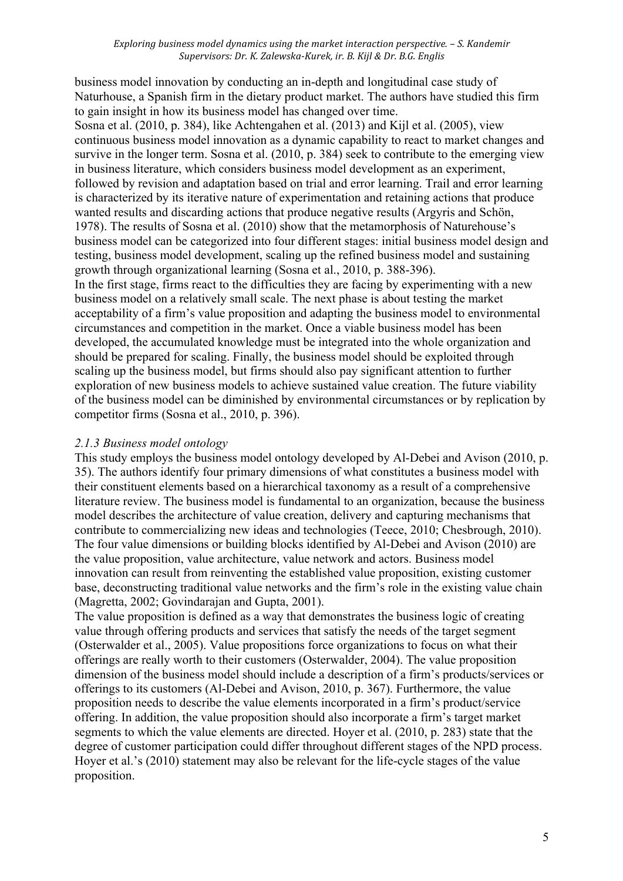business model innovation by conducting an in-depth and longitudinal case study of Naturhouse, a Spanish firm in the dietary product market. The authors have studied this firm to gain insight in how its business model has changed over time.

Sosna et al. (2010, p. 384), like Achtengahen et al. (2013) and Kijl et al. (2005), view continuous business model innovation as a dynamic capability to react to market changes and survive in the longer term. Sosna et al. (2010, p. 384) seek to contribute to the emerging view in business literature, which considers business model development as an experiment, followed by revision and adaptation based on trial and error learning. Trail and error learning is characterized by its iterative nature of experimentation and retaining actions that produce wanted results and discarding actions that produce negative results (Argyris and Schön, 1978). The results of Sosna et al. (2010) show that the metamorphosis of Naturehouse's business model can be categorized into four different stages: initial business model design and testing, business model development, scaling up the refined business model and sustaining growth through organizational learning (Sosna et al., 2010, p. 388-396).

In the first stage, firms react to the difficulties they are facing by experimenting with a new business model on a relatively small scale. The next phase is about testing the market acceptability of a firm's value proposition and adapting the business model to environmental circumstances and competition in the market. Once a viable business model has been developed, the accumulated knowledge must be integrated into the whole organization and should be prepared for scaling. Finally, the business model should be exploited through scaling up the business model, but firms should also pay significant attention to further exploration of new business models to achieve sustained value creation. The future viability of the business model can be diminished by environmental circumstances or by replication by competitor firms (Sosna et al., 2010, p. 396).

## *2.1.3 Business model ontology*

This study employs the business model ontology developed by Al-Debei and Avison (2010, p. 35). The authors identify four primary dimensions of what constitutes a business model with their constituent elements based on a hierarchical taxonomy as a result of a comprehensive literature review. The business model is fundamental to an organization, because the business model describes the architecture of value creation, delivery and capturing mechanisms that contribute to commercializing new ideas and technologies (Teece, 2010; Chesbrough, 2010). The four value dimensions or building blocks identified by Al-Debei and Avison (2010) are the value proposition, value architecture, value network and actors. Business model innovation can result from reinventing the established value proposition, existing customer base, deconstructing traditional value networks and the firm's role in the existing value chain (Magretta, 2002; Govindarajan and Gupta, 2001).

The value proposition is defined as a way that demonstrates the business logic of creating value through offering products and services that satisfy the needs of the target segment (Osterwalder et al., 2005). Value propositions force organizations to focus on what their offerings are really worth to their customers (Osterwalder, 2004). The value proposition dimension of the business model should include a description of a firm's products/services or offerings to its customers (Al-Debei and Avison, 2010, p. 367). Furthermore, the value proposition needs to describe the value elements incorporated in a firm's product/service offering. In addition, the value proposition should also incorporate a firm's target market segments to which the value elements are directed. Hoyer et al. (2010, p. 283) state that the degree of customer participation could differ throughout different stages of the NPD process. Hoyer et al.'s (2010) statement may also be relevant for the life-cycle stages of the value proposition.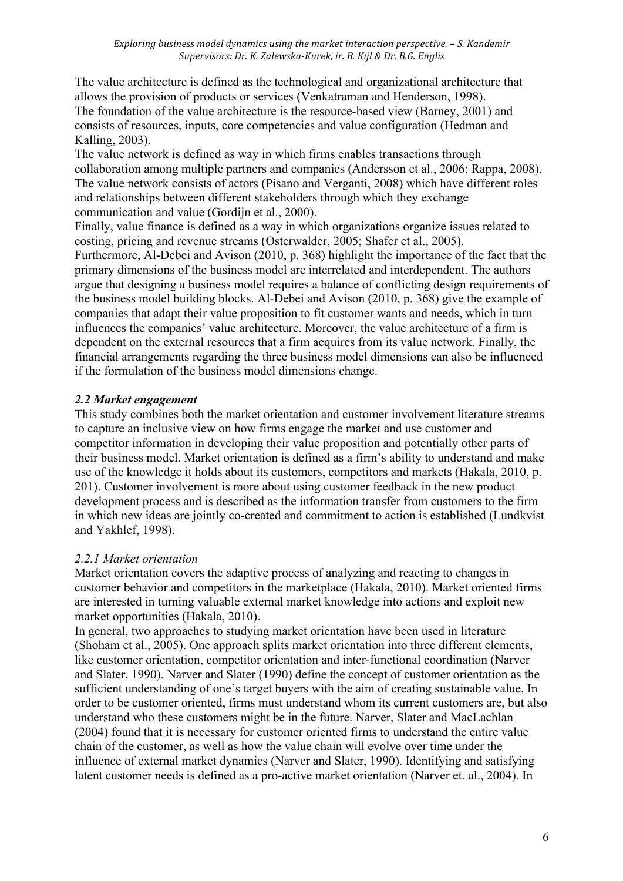The value architecture is defined as the technological and organizational architecture that allows the provision of products or services (Venkatraman and Henderson, 1998). The foundation of the value architecture is the resource-based view (Barney, 2001) and consists of resources, inputs, core competencies and value configuration (Hedman and Kalling, 2003).

The value network is defined as way in which firms enables transactions through collaboration among multiple partners and companies (Andersson et al., 2006; Rappa, 2008). The value network consists of actors (Pisano and Verganti, 2008) which have different roles and relationships between different stakeholders through which they exchange communication and value (Gordijn et al., 2000).

Finally, value finance is defined as a way in which organizations organize issues related to costing, pricing and revenue streams (Osterwalder, 2005; Shafer et al., 2005). Furthermore, Al-Debei and Avison (2010, p. 368) highlight the importance of the fact that the primary dimensions of the business model are interrelated and interdependent. The authors argue that designing a business model requires a balance of conflicting design requirements of the business model building blocks. Al-Debei and Avison (2010, p. 368) give the example of companies that adapt their value proposition to fit customer wants and needs, which in turn influences the companies' value architecture. Moreover, the value architecture of a firm is dependent on the external resources that a firm acquires from its value network. Finally, the financial arrangements regarding the three business model dimensions can also be influenced if the formulation of the business model dimensions change.

# *2.2 Market engagement*

This study combines both the market orientation and customer involvement literature streams to capture an inclusive view on how firms engage the market and use customer and competitor information in developing their value proposition and potentially other parts of their business model. Market orientation is defined as a firm's ability to understand and make use of the knowledge it holds about its customers, competitors and markets (Hakala, 2010, p. 201). Customer involvement is more about using customer feedback in the new product development process and is described as the information transfer from customers to the firm in which new ideas are jointly co-created and commitment to action is established (Lundkvist and Yakhlef, 1998).

## *2.2.1 Market orientation*

Market orientation covers the adaptive process of analyzing and reacting to changes in customer behavior and competitors in the marketplace (Hakala, 2010). Market oriented firms are interested in turning valuable external market knowledge into actions and exploit new market opportunities (Hakala, 2010).

In general, two approaches to studying market orientation have been used in literature (Shoham et al., 2005). One approach splits market orientation into three different elements, like customer orientation, competitor orientation and inter-functional coordination (Narver and Slater, 1990). Narver and Slater (1990) define the concept of customer orientation as the sufficient understanding of one's target buyers with the aim of creating sustainable value. In order to be customer oriented, firms must understand whom its current customers are, but also understand who these customers might be in the future. Narver, Slater and MacLachlan (2004) found that it is necessary for customer oriented firms to understand the entire value chain of the customer, as well as how the value chain will evolve over time under the influence of external market dynamics (Narver and Slater, 1990). Identifying and satisfying latent customer needs is defined as a pro-active market orientation (Narver et. al., 2004). In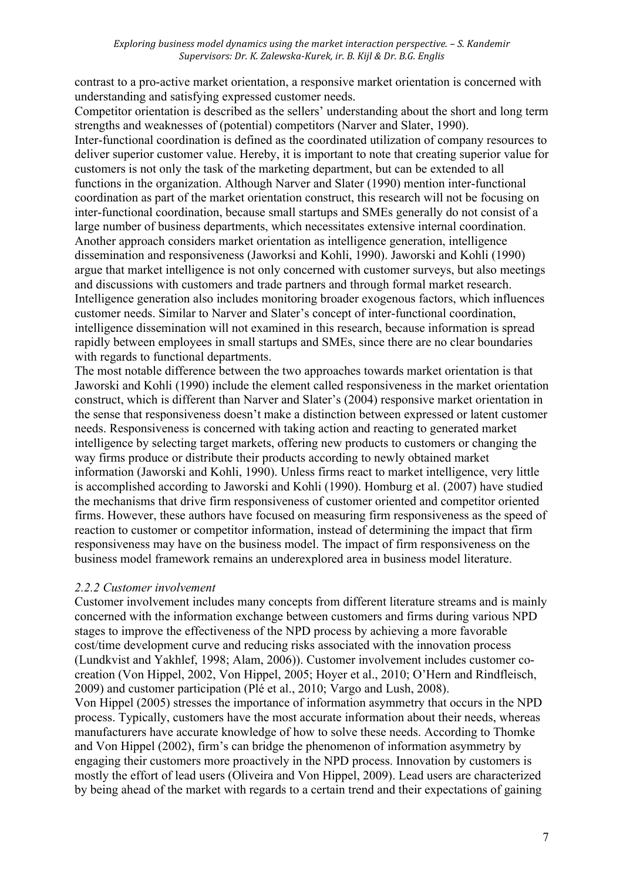contrast to a pro-active market orientation, a responsive market orientation is concerned with understanding and satisfying expressed customer needs.

Competitor orientation is described as the sellers' understanding about the short and long term strengths and weaknesses of (potential) competitors (Narver and Slater, 1990). Inter-functional coordination is defined as the coordinated utilization of company resources to deliver superior customer value. Hereby, it is important to note that creating superior value for customers is not only the task of the marketing department, but can be extended to all functions in the organization. Although Narver and Slater (1990) mention inter-functional coordination as part of the market orientation construct, this research will not be focusing on inter-functional coordination, because small startups and SMEs generally do not consist of a large number of business departments, which necessitates extensive internal coordination. Another approach considers market orientation as intelligence generation, intelligence dissemination and responsiveness (Jaworksi and Kohli, 1990). Jaworski and Kohli (1990) argue that market intelligence is not only concerned with customer surveys, but also meetings and discussions with customers and trade partners and through formal market research. Intelligence generation also includes monitoring broader exogenous factors, which influences customer needs. Similar to Narver and Slater's concept of inter-functional coordination, intelligence dissemination will not examined in this research, because information is spread rapidly between employees in small startups and SMEs, since there are no clear boundaries with regards to functional departments.

The most notable difference between the two approaches towards market orientation is that Jaworski and Kohli (1990) include the element called responsiveness in the market orientation construct, which is different than Narver and Slater's (2004) responsive market orientation in the sense that responsiveness doesn't make a distinction between expressed or latent customer needs. Responsiveness is concerned with taking action and reacting to generated market intelligence by selecting target markets, offering new products to customers or changing the way firms produce or distribute their products according to newly obtained market information (Jaworski and Kohli, 1990). Unless firms react to market intelligence, very little is accomplished according to Jaworski and Kohli (1990). Homburg et al. (2007) have studied the mechanisms that drive firm responsiveness of customer oriented and competitor oriented firms. However, these authors have focused on measuring firm responsiveness as the speed of reaction to customer or competitor information, instead of determining the impact that firm responsiveness may have on the business model. The impact of firm responsiveness on the business model framework remains an underexplored area in business model literature.

## *2.2.2 Customer involvement*

Customer involvement includes many concepts from different literature streams and is mainly concerned with the information exchange between customers and firms during various NPD stages to improve the effectiveness of the NPD process by achieving a more favorable cost/time development curve and reducing risks associated with the innovation process (Lundkvist and Yakhlef, 1998; Alam, 2006)). Customer involvement includes customer cocreation (Von Hippel, 2002, Von Hippel, 2005; Hoyer et al., 2010; O'Hern and Rindfleisch, 2009) and customer participation (Plé et al., 2010; Vargo and Lush, 2008).

Von Hippel (2005) stresses the importance of information asymmetry that occurs in the NPD process. Typically, customers have the most accurate information about their needs, whereas manufacturers have accurate knowledge of how to solve these needs. According to Thomke and Von Hippel (2002), firm's can bridge the phenomenon of information asymmetry by engaging their customers more proactively in the NPD process. Innovation by customers is mostly the effort of lead users (Oliveira and Von Hippel, 2009). Lead users are characterized by being ahead of the market with regards to a certain trend and their expectations of gaining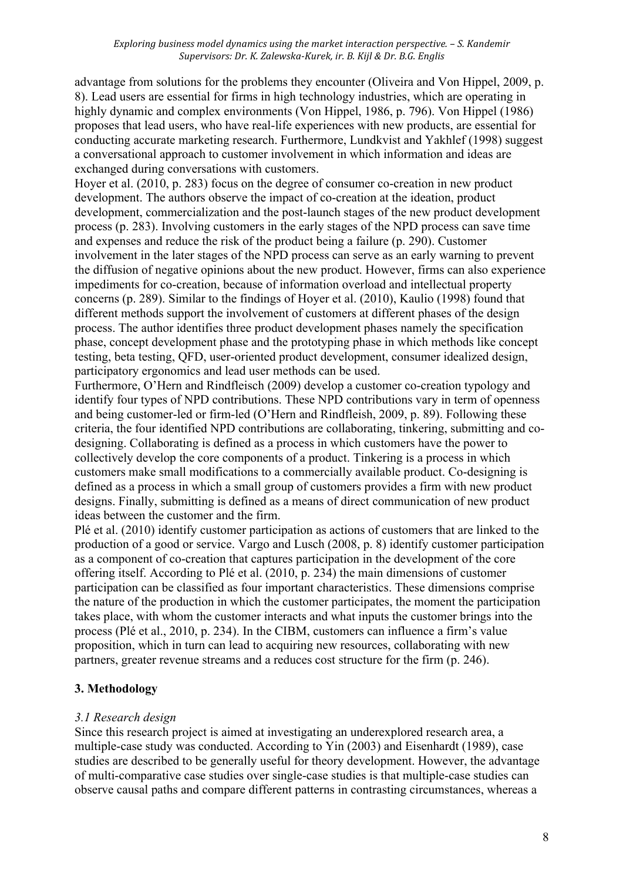advantage from solutions for the problems they encounter (Oliveira and Von Hippel, 2009, p. 8). Lead users are essential for firms in high technology industries, which are operating in highly dynamic and complex environments (Von Hippel, 1986, p. 796). Von Hippel (1986) proposes that lead users, who have real-life experiences with new products, are essential for conducting accurate marketing research. Furthermore, Lundkvist and Yakhlef (1998) suggest a conversational approach to customer involvement in which information and ideas are exchanged during conversations with customers.

Hoyer et al. (2010, p. 283) focus on the degree of consumer co-creation in new product development. The authors observe the impact of co-creation at the ideation, product development, commercialization and the post-launch stages of the new product development process (p. 283). Involving customers in the early stages of the NPD process can save time and expenses and reduce the risk of the product being a failure (p. 290). Customer involvement in the later stages of the NPD process can serve as an early warning to prevent the diffusion of negative opinions about the new product. However, firms can also experience impediments for co-creation, because of information overload and intellectual property concerns (p. 289). Similar to the findings of Hoyer et al. (2010), Kaulio (1998) found that different methods support the involvement of customers at different phases of the design process. The author identifies three product development phases namely the specification phase, concept development phase and the prototyping phase in which methods like concept testing, beta testing, QFD, user-oriented product development, consumer idealized design, participatory ergonomics and lead user methods can be used.

Furthermore, O'Hern and Rindfleisch (2009) develop a customer co-creation typology and identify four types of NPD contributions. These NPD contributions vary in term of openness and being customer-led or firm-led (O'Hern and Rindfleish, 2009, p. 89). Following these criteria, the four identified NPD contributions are collaborating, tinkering, submitting and codesigning. Collaborating is defined as a process in which customers have the power to collectively develop the core components of a product. Tinkering is a process in which customers make small modifications to a commercially available product. Co-designing is defined as a process in which a small group of customers provides a firm with new product designs. Finally, submitting is defined as a means of direct communication of new product ideas between the customer and the firm.

Plé et al. (2010) identify customer participation as actions of customers that are linked to the production of a good or service. Vargo and Lusch (2008, p. 8) identify customer participation as a component of co-creation that captures participation in the development of the core offering itself. According to Plé et al. (2010, p. 234) the main dimensions of customer participation can be classified as four important characteristics. These dimensions comprise the nature of the production in which the customer participates, the moment the participation takes place, with whom the customer interacts and what inputs the customer brings into the process (Plé et al., 2010, p. 234). In the CIBM, customers can influence a firm's value proposition, which in turn can lead to acquiring new resources, collaborating with new partners, greater revenue streams and a reduces cost structure for the firm (p. 246).

# **3. Methodology**

# *3.1 Research design*

Since this research project is aimed at investigating an underexplored research area, a multiple-case study was conducted. According to Yin (2003) and Eisenhardt (1989), case studies are described to be generally useful for theory development. However, the advantage of multi-comparative case studies over single-case studies is that multiple-case studies can observe causal paths and compare different patterns in contrasting circumstances, whereas a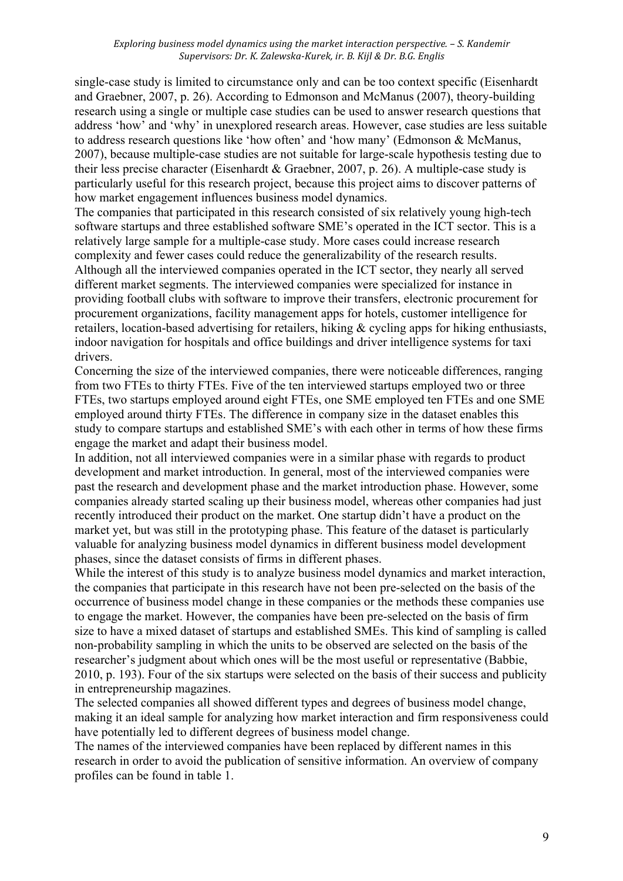single-case study is limited to circumstance only and can be too context specific (Eisenhardt and Graebner, 2007, p. 26). According to Edmonson and McManus (2007), theory-building research using a single or multiple case studies can be used to answer research questions that address 'how' and 'why' in unexplored research areas. However, case studies are less suitable to address research questions like 'how often' and 'how many' (Edmonson & McManus, 2007), because multiple-case studies are not suitable for large-scale hypothesis testing due to their less precise character (Eisenhardt & Graebner, 2007, p. 26). A multiple-case study is particularly useful for this research project, because this project aims to discover patterns of how market engagement influences business model dynamics.

The companies that participated in this research consisted of six relatively young high-tech software startups and three established software SME's operated in the ICT sector. This is a relatively large sample for a multiple-case study. More cases could increase research complexity and fewer cases could reduce the generalizability of the research results. Although all the interviewed companies operated in the ICT sector, they nearly all served different market segments. The interviewed companies were specialized for instance in providing football clubs with software to improve their transfers, electronic procurement for procurement organizations, facility management apps for hotels, customer intelligence for retailers, location-based advertising for retailers, hiking & cycling apps for hiking enthusiasts, indoor navigation for hospitals and office buildings and driver intelligence systems for taxi drivers.

Concerning the size of the interviewed companies, there were noticeable differences, ranging from two FTEs to thirty FTEs. Five of the ten interviewed startups employed two or three FTEs, two startups employed around eight FTEs, one SME employed ten FTEs and one SME employed around thirty FTEs. The difference in company size in the dataset enables this study to compare startups and established SME's with each other in terms of how these firms engage the market and adapt their business model.

In addition, not all interviewed companies were in a similar phase with regards to product development and market introduction. In general, most of the interviewed companies were past the research and development phase and the market introduction phase. However, some companies already started scaling up their business model, whereas other companies had just recently introduced their product on the market. One startup didn't have a product on the market yet, but was still in the prototyping phase. This feature of the dataset is particularly valuable for analyzing business model dynamics in different business model development phases, since the dataset consists of firms in different phases.

While the interest of this study is to analyze business model dynamics and market interaction, the companies that participate in this research have not been pre-selected on the basis of the occurrence of business model change in these companies or the methods these companies use to engage the market. However, the companies have been pre-selected on the basis of firm size to have a mixed dataset of startups and established SMEs. This kind of sampling is called non-probability sampling in which the units to be observed are selected on the basis of the researcher's judgment about which ones will be the most useful or representative (Babbie, 2010, p. 193). Four of the six startups were selected on the basis of their success and publicity in entrepreneurship magazines.

The selected companies all showed different types and degrees of business model change, making it an ideal sample for analyzing how market interaction and firm responsiveness could have potentially led to different degrees of business model change.

The names of the interviewed companies have been replaced by different names in this research in order to avoid the publication of sensitive information. An overview of company profiles can be found in table 1.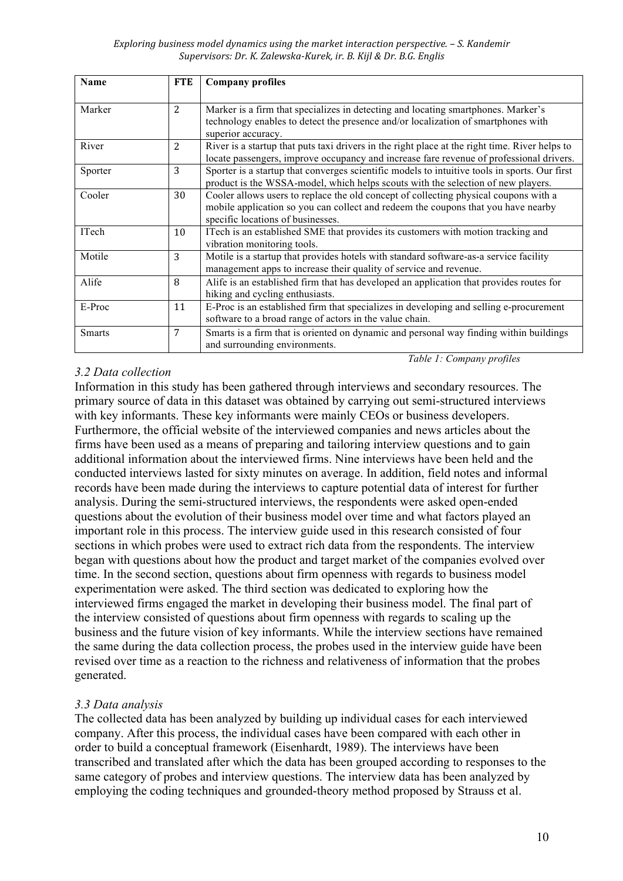#### *Exploring business model dynamics using the market interaction perspective. – S. Kandemir Supervisors: Dr. K. Zalewska-Kurek, ir. B. Kijl & Dr. B.G. Englis*

| Name          | <b>FTE</b>     | <b>Company profiles</b>                                                                                                                                                                                        |
|---------------|----------------|----------------------------------------------------------------------------------------------------------------------------------------------------------------------------------------------------------------|
| Marker        | $\overline{2}$ | Marker is a firm that specializes in detecting and locating smartphones. Marker's<br>technology enables to detect the presence and/or localization of smartphones with<br>superior accuracy.                   |
| River         | 2              | River is a startup that puts taxi drivers in the right place at the right time. River helps to<br>locate passengers, improve occupancy and increase fare revenue of professional drivers.                      |
| Sporter       | 3              | Sporter is a startup that converges scientific models to intuitive tools in sports. Our first<br>product is the WSSA-model, which helps scouts with the selection of new players.                              |
| Cooler        | 30             | Cooler allows users to replace the old concept of collecting physical coupons with a<br>mobile application so you can collect and redeem the coupons that you have nearby<br>specific locations of businesses. |
| ITech         | 10             | ITech is an established SME that provides its customers with motion tracking and<br>vibration monitoring tools.                                                                                                |
| Motile        | 3              | Motile is a startup that provides hotels with standard software-as-a service facility<br>management apps to increase their quality of service and revenue.                                                     |
| Alife         | 8              | Alife is an established firm that has developed an application that provides routes for<br>hiking and cycling enthusiasts.                                                                                     |
| E-Proc        | 11             | E-Proc is an established firm that specializes in developing and selling e-procurement<br>software to a broad range of actors in the value chain.                                                              |
| <b>Smarts</b> | 7              | Smarts is a firm that is oriented on dynamic and personal way finding within buildings<br>and surrounding environments.                                                                                        |
|               |                | Table 1: Company profiles                                                                                                                                                                                      |

## *3.2 Data collection*

Information in this study has been gathered through interviews and secondary resources. The primary source of data in this dataset was obtained by carrying out semi-structured interviews with key informants. These key informants were mainly CEOs or business developers. Furthermore, the official website of the interviewed companies and news articles about the firms have been used as a means of preparing and tailoring interview questions and to gain additional information about the interviewed firms. Nine interviews have been held and the conducted interviews lasted for sixty minutes on average. In addition, field notes and informal records have been made during the interviews to capture potential data of interest for further analysis. During the semi-structured interviews, the respondents were asked open-ended questions about the evolution of their business model over time and what factors played an important role in this process. The interview guide used in this research consisted of four sections in which probes were used to extract rich data from the respondents. The interview began with questions about how the product and target market of the companies evolved over time. In the second section, questions about firm openness with regards to business model experimentation were asked. The third section was dedicated to exploring how the interviewed firms engaged the market in developing their business model. The final part of the interview consisted of questions about firm openness with regards to scaling up the business and the future vision of key informants. While the interview sections have remained the same during the data collection process, the probes used in the interview guide have been revised over time as a reaction to the richness and relativeness of information that the probes generated.

## *3.3 Data analysis*

The collected data has been analyzed by building up individual cases for each interviewed company. After this process, the individual cases have been compared with each other in order to build a conceptual framework (Eisenhardt, 1989). The interviews have been transcribed and translated after which the data has been grouped according to responses to the same category of probes and interview questions. The interview data has been analyzed by employing the coding techniques and grounded-theory method proposed by Strauss et al.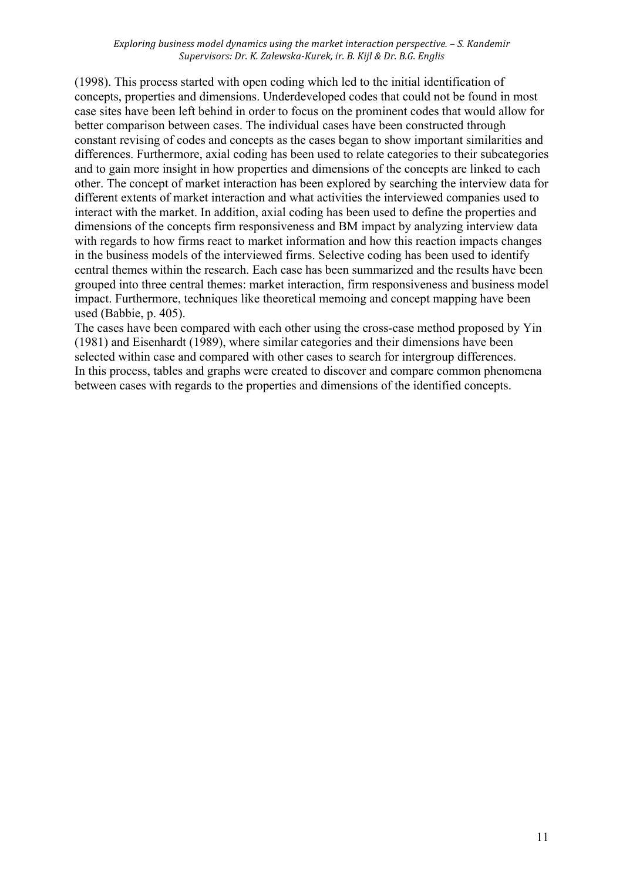*Exploring business model dynamics using the market interaction perspective. – S. Kandemir Supervisors: Dr. K. Zalewska-Kurek, ir. B. Kijl & Dr. B.G. Englis*

(1998). This process started with open coding which led to the initial identification of concepts, properties and dimensions. Underdeveloped codes that could not be found in most case sites have been left behind in order to focus on the prominent codes that would allow for better comparison between cases. The individual cases have been constructed through constant revising of codes and concepts as the cases began to show important similarities and differences. Furthermore, axial coding has been used to relate categories to their subcategories and to gain more insight in how properties and dimensions of the concepts are linked to each other. The concept of market interaction has been explored by searching the interview data for different extents of market interaction and what activities the interviewed companies used to interact with the market. In addition, axial coding has been used to define the properties and dimensions of the concepts firm responsiveness and BM impact by analyzing interview data with regards to how firms react to market information and how this reaction impacts changes in the business models of the interviewed firms. Selective coding has been used to identify central themes within the research. Each case has been summarized and the results have been grouped into three central themes: market interaction, firm responsiveness and business model impact. Furthermore, techniques like theoretical memoing and concept mapping have been used (Babbie, p. 405).

The cases have been compared with each other using the cross-case method proposed by Yin (1981) and Eisenhardt (1989), where similar categories and their dimensions have been selected within case and compared with other cases to search for intergroup differences. In this process, tables and graphs were created to discover and compare common phenomena between cases with regards to the properties and dimensions of the identified concepts.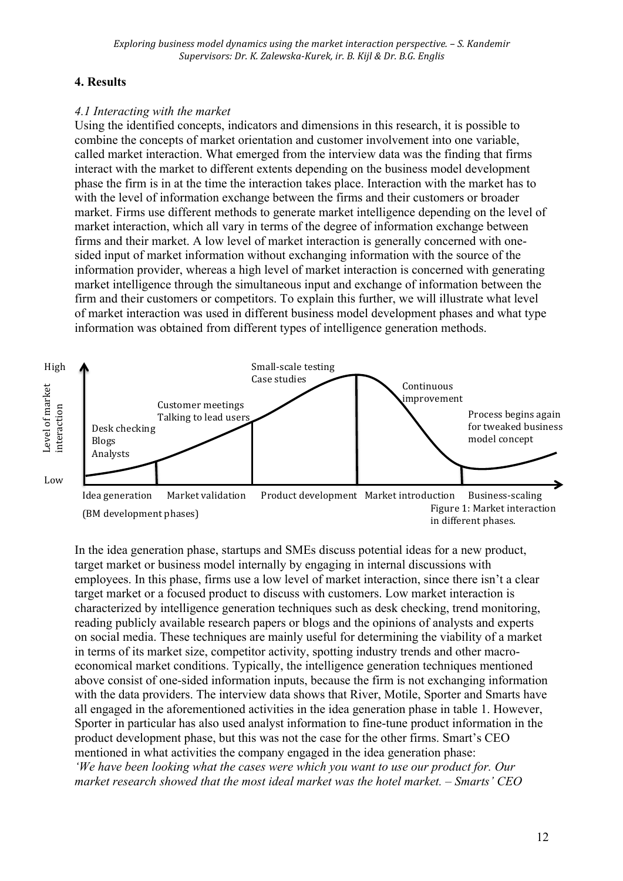## **4. Results**

### *4.1 Interacting with the market*

Using the identified concepts, indicators and dimensions in this research, it is possible to combine the concepts of market orientation and customer involvement into one variable, called market interaction. What emerged from the interview data was the finding that firms interact with the market to different extents depending on the business model development phase the firm is in at the time the interaction takes place. Interaction with the market has to with the level of information exchange between the firms and their customers or broader market. Firms use different methods to generate market intelligence depending on the level of market interaction, which all vary in terms of the degree of information exchange between firms and their market. A low level of market interaction is generally concerned with onesided input of market information without exchanging information with the source of the information provider, whereas a high level of market interaction is concerned with generating market intelligence through the simultaneous input and exchange of information between the firm and their customers or competitors. To explain this further, we will illustrate what level of market interaction was used in different business model development phases and what type information was obtained from different types of intelligence generation methods.



In the idea generation phase, startups and SMEs discuss potential ideas for a new product, target market or business model internally by engaging in internal discussions with employees. In this phase, firms use a low level of market interaction, since there isn't a clear target market or a focused product to discuss with customers. Low market interaction is characterized by intelligence generation techniques such as desk checking, trend monitoring, reading publicly available research papers or blogs and the opinions of analysts and experts on social media. These techniques are mainly useful for determining the viability of a market in terms of its market size, competitor activity, spotting industry trends and other macroeconomical market conditions. Typically, the intelligence generation techniques mentioned above consist of one-sided information inputs, because the firm is not exchanging information with the data providers. The interview data shows that River, Motile, Sporter and Smarts have all engaged in the aforementioned activities in the idea generation phase in table 1. However, Sporter in particular has also used analyst information to fine-tune product information in the product development phase, but this was not the case for the other firms. Smart's CEO mentioned in what activities the company engaged in the idea generation phase: *'We have been looking what the cases were which you want to use our product for. Our market research showed that the most ideal market was the hotel market. – Smarts' CEO*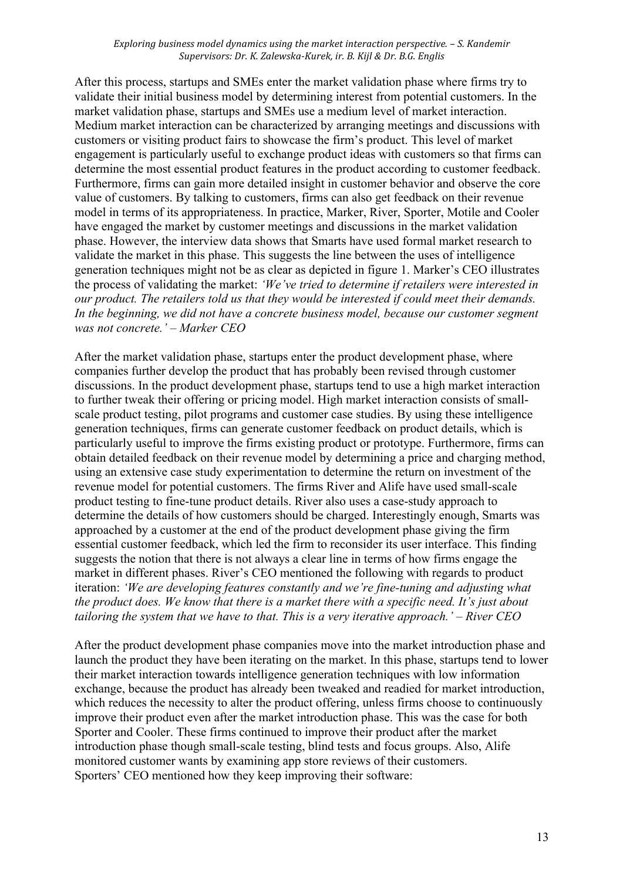*Exploring business model dynamics using the market interaction perspective. – S. Kandemir Supervisors: Dr. K. Zalewska-Kurek, ir. B. Kijl & Dr. B.G. Englis*

After this process, startups and SMEs enter the market validation phase where firms try to validate their initial business model by determining interest from potential customers. In the market validation phase, startups and SMEs use a medium level of market interaction. Medium market interaction can be characterized by arranging meetings and discussions with customers or visiting product fairs to showcase the firm's product. This level of market engagement is particularly useful to exchange product ideas with customers so that firms can determine the most essential product features in the product according to customer feedback. Furthermore, firms can gain more detailed insight in customer behavior and observe the core value of customers. By talking to customers, firms can also get feedback on their revenue model in terms of its appropriateness. In practice, Marker, River, Sporter, Motile and Cooler have engaged the market by customer meetings and discussions in the market validation phase. However, the interview data shows that Smarts have used formal market research to validate the market in this phase. This suggests the line between the uses of intelligence generation techniques might not be as clear as depicted in figure 1. Marker's CEO illustrates the process of validating the market: *'We've tried to determine if retailers were interested in our product. The retailers told us that they would be interested if could meet their demands.*  In the beginning, we did not have a concrete business model, because our customer segment *was not concrete.' – Marker CEO*

After the market validation phase, startups enter the product development phase, where companies further develop the product that has probably been revised through customer discussions. In the product development phase, startups tend to use a high market interaction to further tweak their offering or pricing model. High market interaction consists of smallscale product testing, pilot programs and customer case studies. By using these intelligence generation techniques, firms can generate customer feedback on product details, which is particularly useful to improve the firms existing product or prototype. Furthermore, firms can obtain detailed feedback on their revenue model by determining a price and charging method, using an extensive case study experimentation to determine the return on investment of the revenue model for potential customers. The firms River and Alife have used small-scale product testing to fine-tune product details. River also uses a case-study approach to determine the details of how customers should be charged. Interestingly enough, Smarts was approached by a customer at the end of the product development phase giving the firm essential customer feedback, which led the firm to reconsider its user interface. This finding suggests the notion that there is not always a clear line in terms of how firms engage the market in different phases. River's CEO mentioned the following with regards to product iteration: *'We are developing features constantly and we're fine-tuning and adjusting what the product does. We know that there is a market there with a specific need. It's just about tailoring the system that we have to that. This is a very iterative approach.' – River CEO*

After the product development phase companies move into the market introduction phase and launch the product they have been iterating on the market. In this phase, startups tend to lower their market interaction towards intelligence generation techniques with low information exchange, because the product has already been tweaked and readied for market introduction, which reduces the necessity to alter the product offering, unless firms choose to continuously improve their product even after the market introduction phase. This was the case for both Sporter and Cooler. These firms continued to improve their product after the market introduction phase though small-scale testing, blind tests and focus groups. Also, Alife monitored customer wants by examining app store reviews of their customers. Sporters' CEO mentioned how they keep improving their software: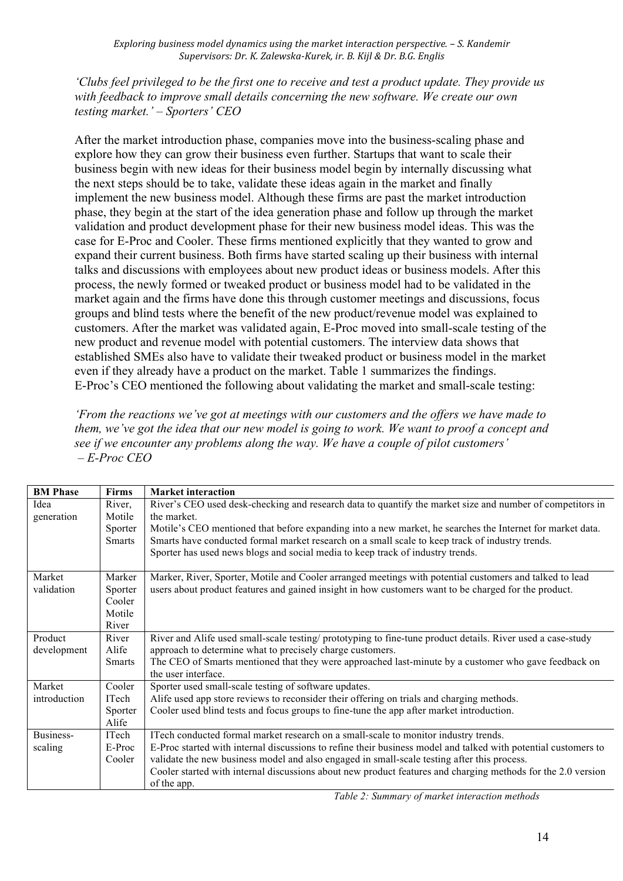*Exploring business model dynamics using the market interaction perspective. – S. Kandemir Supervisors: Dr. K. Zalewska-Kurek, ir. B. Kijl & Dr. B.G. Englis*

*'Clubs feel privileged to be the first one to receive and test a product update. They provide us with feedback to improve small details concerning the new software. We create our own testing market.' – Sporters' CEO*

After the market introduction phase, companies move into the business-scaling phase and explore how they can grow their business even further. Startups that want to scale their business begin with new ideas for their business model begin by internally discussing what the next steps should be to take, validate these ideas again in the market and finally implement the new business model. Although these firms are past the market introduction phase, they begin at the start of the idea generation phase and follow up through the market validation and product development phase for their new business model ideas. This was the case for E-Proc and Cooler. These firms mentioned explicitly that they wanted to grow and expand their current business. Both firms have started scaling up their business with internal talks and discussions with employees about new product ideas or business models. After this process, the newly formed or tweaked product or business model had to be validated in the market again and the firms have done this through customer meetings and discussions, focus groups and blind tests where the benefit of the new product/revenue model was explained to customers. After the market was validated again, E-Proc moved into small-scale testing of the new product and revenue model with potential customers. The interview data shows that established SMEs also have to validate their tweaked product or business model in the market even if they already have a product on the market. Table 1 summarizes the findings. E-Proc's CEO mentioned the following about validating the market and small-scale testing:

*'From the reactions we've got at meetings with our customers and the offers we have made to them, we've got the idea that our new model is going to work. We want to proof a concept and see if we encounter any problems along the way. We have a couple of pilot customers' – E-Proc CEO*

| Firms         | <b>Market interaction</b>                                                                                      |
|---------------|----------------------------------------------------------------------------------------------------------------|
| River,        | River's CEO used desk-checking and research data to quantify the market size and number of competitors in      |
| Motile        | the market                                                                                                     |
| Sporter       | Motile's CEO mentioned that before expanding into a new market, he searches the Internet for market data.      |
| <b>Smarts</b> | Smarts have conducted formal market research on a small scale to keep track of industry trends.                |
|               | Sporter has used news blogs and social media to keep track of industry trends.                                 |
| Marker        | Marker, River, Sporter, Motile and Cooler arranged meetings with potential customers and talked to lead        |
| Sporter       | users about product features and gained insight in how customers want to be charged for the product.           |
| Cooler        |                                                                                                                |
| Motile        |                                                                                                                |
| River         |                                                                                                                |
| River         | River and Alife used small-scale testing/prototyping to fine-tune product details. River used a case-study     |
| Alife         | approach to determine what to precisely charge customers.                                                      |
| <b>Smarts</b> | The CEO of Smarts mentioned that they were approached last-minute by a customer who gave feedback on           |
|               | the user interface.                                                                                            |
| Cooler        | Sporter used small-scale testing of software updates.                                                          |
| ITech         | Alife used app store reviews to reconsider their offering on trials and charging methods.                      |
| Sporter       | Cooler used blind tests and focus groups to fine-tune the app after market introduction.                       |
| Alife         |                                                                                                                |
| ITech         | ITech conducted formal market research on a small-scale to monitor industry trends.                            |
| E-Proc        | E-Proc started with internal discussions to refine their business model and talked with potential customers to |
| Cooler        | validate the new business model and also engaged in small-scale testing after this process.                    |
|               | Cooler started with internal discussions about new product features and charging methods for the 2.0 version   |
|               | of the app.                                                                                                    |
|               |                                                                                                                |

*Table 2: Summary of market interaction methods*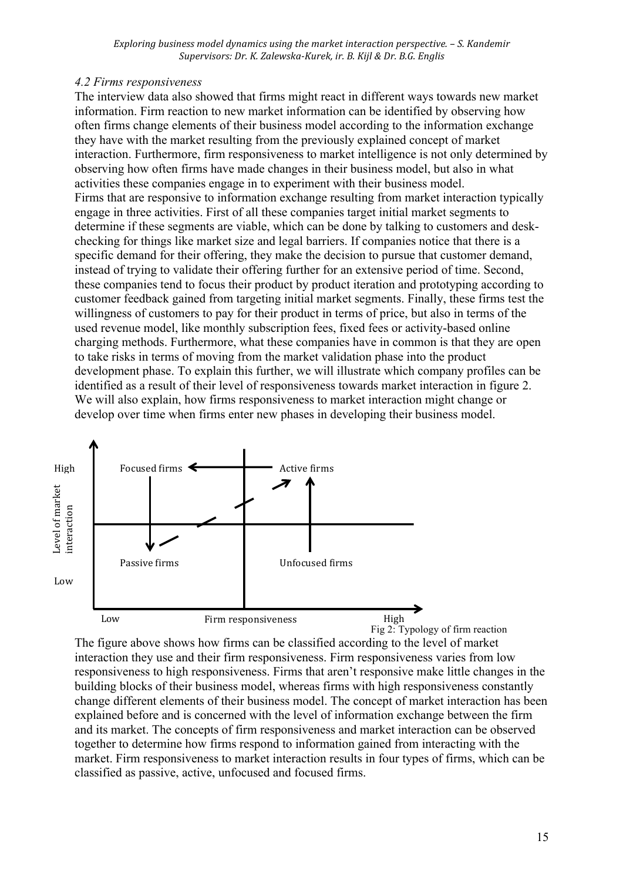### *4.2 Firms responsiveness*

The interview data also showed that firms might react in different ways towards new market information. Firm reaction to new market information can be identified by observing how often firms change elements of their business model according to the information exchange they have with the market resulting from the previously explained concept of market interaction. Furthermore, firm responsiveness to market intelligence is not only determined by observing how often firms have made changes in their business model, but also in what activities these companies engage in to experiment with their business model. Firms that are responsive to information exchange resulting from market interaction typically engage in three activities. First of all these companies target initial market segments to determine if these segments are viable, which can be done by talking to customers and deskchecking for things like market size and legal barriers. If companies notice that there is a specific demand for their offering, they make the decision to pursue that customer demand, instead of trying to validate their offering further for an extensive period of time. Second, these companies tend to focus their product by product iteration and prototyping according to customer feedback gained from targeting initial market segments. Finally, these firms test the willingness of customers to pay for their product in terms of price, but also in terms of the used revenue model, like monthly subscription fees, fixed fees or activity-based online charging methods. Furthermore, what these companies have in common is that they are open to take risks in terms of moving from the market validation phase into the product development phase. To explain this further, we will illustrate which company profiles can be identified as a result of their level of responsiveness towards market interaction in figure 2. We will also explain, how firms responsiveness to market interaction might change or develop over time when firms enter new phases in developing their business model.



The figure above shows how firms can be classified according to the level of market interaction they use and their firm responsiveness. Firm responsiveness varies from low responsiveness to high responsiveness. Firms that aren't responsive make little changes in the building blocks of their business model, whereas firms with high responsiveness constantly change different elements of their business model. The concept of market interaction has been explained before and is concerned with the level of information exchange between the firm and its market. The concepts of firm responsiveness and market interaction can be observed together to determine how firms respond to information gained from interacting with the market. Firm responsiveness to market interaction results in four types of firms, which can be classified as passive, active, unfocused and focused firms.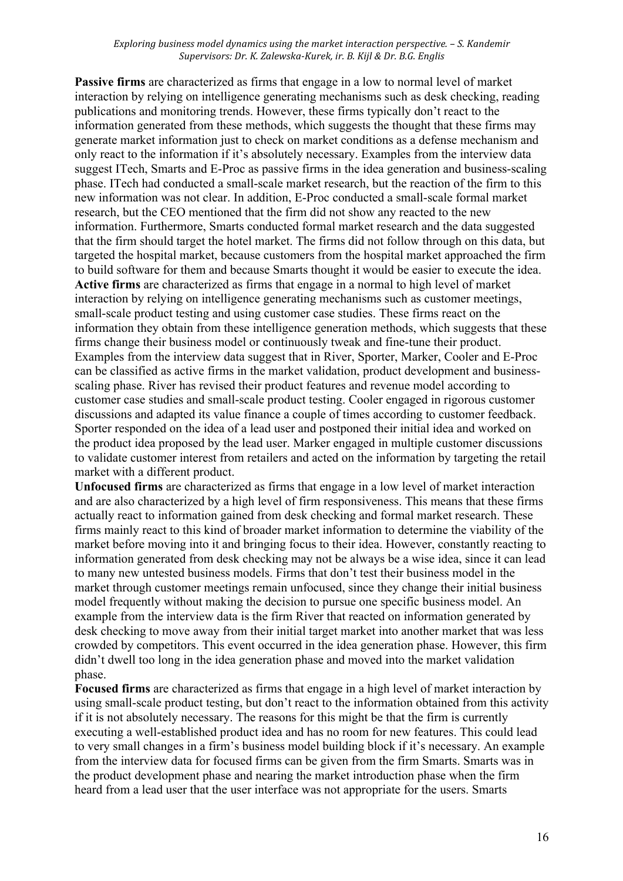*Exploring business model dynamics using the market interaction perspective. – S. Kandemir Supervisors: Dr. K. Zalewska-Kurek, ir. B. Kijl & Dr. B.G. Englis*

**Passive firms** are characterized as firms that engage in a low to normal level of market interaction by relying on intelligence generating mechanisms such as desk checking, reading publications and monitoring trends. However, these firms typically don't react to the information generated from these methods, which suggests the thought that these firms may generate market information just to check on market conditions as a defense mechanism and only react to the information if it's absolutely necessary. Examples from the interview data suggest ITech, Smarts and E-Proc as passive firms in the idea generation and business-scaling phase. ITech had conducted a small-scale market research, but the reaction of the firm to this new information was not clear. In addition, E-Proc conducted a small-scale formal market research, but the CEO mentioned that the firm did not show any reacted to the new information. Furthermore, Smarts conducted formal market research and the data suggested that the firm should target the hotel market. The firms did not follow through on this data, but targeted the hospital market, because customers from the hospital market approached the firm to build software for them and because Smarts thought it would be easier to execute the idea. **Active firms** are characterized as firms that engage in a normal to high level of market interaction by relying on intelligence generating mechanisms such as customer meetings, small-scale product testing and using customer case studies. These firms react on the information they obtain from these intelligence generation methods, which suggests that these firms change their business model or continuously tweak and fine-tune their product. Examples from the interview data suggest that in River, Sporter, Marker, Cooler and E-Proc can be classified as active firms in the market validation, product development and businessscaling phase. River has revised their product features and revenue model according to customer case studies and small-scale product testing. Cooler engaged in rigorous customer discussions and adapted its value finance a couple of times according to customer feedback. Sporter responded on the idea of a lead user and postponed their initial idea and worked on the product idea proposed by the lead user. Marker engaged in multiple customer discussions to validate customer interest from retailers and acted on the information by targeting the retail market with a different product.

**Unfocused firms** are characterized as firms that engage in a low level of market interaction and are also characterized by a high level of firm responsiveness. This means that these firms actually react to information gained from desk checking and formal market research. These firms mainly react to this kind of broader market information to determine the viability of the market before moving into it and bringing focus to their idea. However, constantly reacting to information generated from desk checking may not be always be a wise idea, since it can lead to many new untested business models. Firms that don't test their business model in the market through customer meetings remain unfocused, since they change their initial business model frequently without making the decision to pursue one specific business model. An example from the interview data is the firm River that reacted on information generated by desk checking to move away from their initial target market into another market that was less crowded by competitors. This event occurred in the idea generation phase. However, this firm didn't dwell too long in the idea generation phase and moved into the market validation phase.

**Focused firms** are characterized as firms that engage in a high level of market interaction by using small-scale product testing, but don't react to the information obtained from this activity if it is not absolutely necessary. The reasons for this might be that the firm is currently executing a well-established product idea and has no room for new features. This could lead to very small changes in a firm's business model building block if it's necessary. An example from the interview data for focused firms can be given from the firm Smarts. Smarts was in the product development phase and nearing the market introduction phase when the firm heard from a lead user that the user interface was not appropriate for the users. Smarts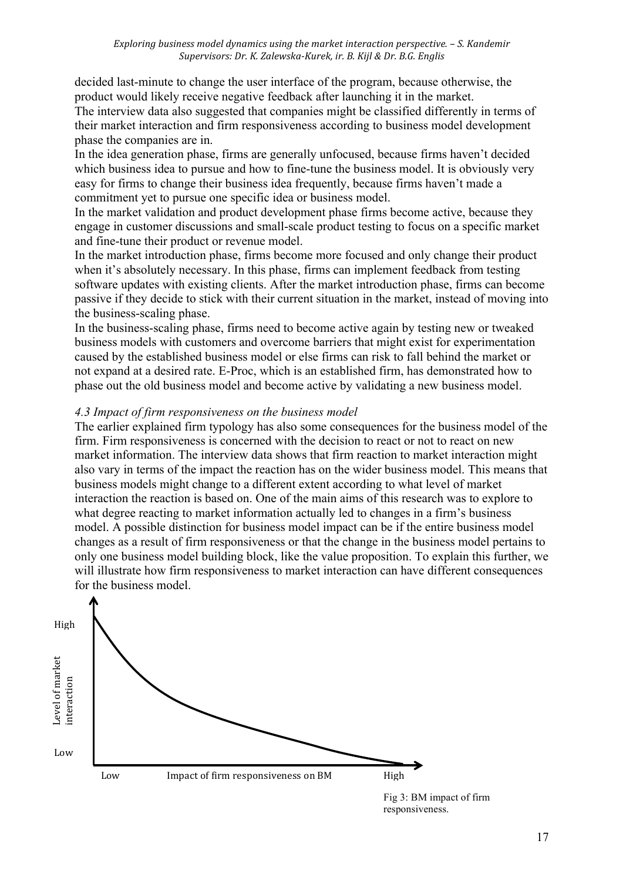decided last-minute to change the user interface of the program, because otherwise, the product would likely receive negative feedback after launching it in the market. The interview data also suggested that companies might be classified differently in terms of their market interaction and firm responsiveness according to business model development phase the companies are in.

In the idea generation phase, firms are generally unfocused, because firms haven't decided which business idea to pursue and how to fine-tune the business model. It is obviously very easy for firms to change their business idea frequently, because firms haven't made a commitment yet to pursue one specific idea or business model.

In the market validation and product development phase firms become active, because they engage in customer discussions and small-scale product testing to focus on a specific market and fine-tune their product or revenue model.

In the market introduction phase, firms become more focused and only change their product when it's absolutely necessary. In this phase, firms can implement feedback from testing software updates with existing clients. After the market introduction phase, firms can become passive if they decide to stick with their current situation in the market, instead of moving into the business-scaling phase.

In the business-scaling phase, firms need to become active again by testing new or tweaked business models with customers and overcome barriers that might exist for experimentation caused by the established business model or else firms can risk to fall behind the market or not expand at a desired rate. E-Proc, which is an established firm, has demonstrated how to phase out the old business model and become active by validating a new business model.

### *4.3 Impact of firm responsiveness on the business model*

The earlier explained firm typology has also some consequences for the business model of the firm. Firm responsiveness is concerned with the decision to react or not to react on new market information. The interview data shows that firm reaction to market interaction might also vary in terms of the impact the reaction has on the wider business model. This means that business models might change to a different extent according to what level of market interaction the reaction is based on. One of the main aims of this research was to explore to what degree reacting to market information actually led to changes in a firm's business model. A possible distinction for business model impact can be if the entire business model changes as a result of firm responsiveness or that the change in the business model pertains to only one business model building block, like the value proposition. To explain this further, we will illustrate how firm responsiveness to market interaction can have different consequences for the business model.



Fig 3: BM impact of firm responsiveness.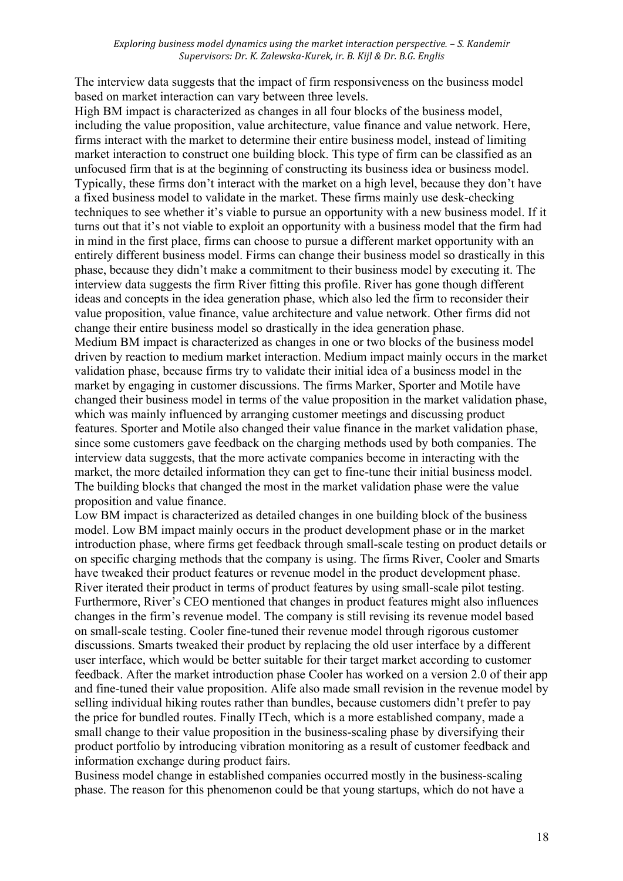The interview data suggests that the impact of firm responsiveness on the business model based on market interaction can vary between three levels.

High BM impact is characterized as changes in all four blocks of the business model, including the value proposition, value architecture, value finance and value network. Here, firms interact with the market to determine their entire business model, instead of limiting market interaction to construct one building block. This type of firm can be classified as an unfocused firm that is at the beginning of constructing its business idea or business model. Typically, these firms don't interact with the market on a high level, because they don't have a fixed business model to validate in the market. These firms mainly use desk-checking techniques to see whether it's viable to pursue an opportunity with a new business model. If it turns out that it's not viable to exploit an opportunity with a business model that the firm had in mind in the first place, firms can choose to pursue a different market opportunity with an entirely different business model. Firms can change their business model so drastically in this phase, because they didn't make a commitment to their business model by executing it. The interview data suggests the firm River fitting this profile. River has gone though different ideas and concepts in the idea generation phase, which also led the firm to reconsider their value proposition, value finance, value architecture and value network. Other firms did not change their entire business model so drastically in the idea generation phase. Medium BM impact is characterized as changes in one or two blocks of the business model driven by reaction to medium market interaction. Medium impact mainly occurs in the market validation phase, because firms try to validate their initial idea of a business model in the market by engaging in customer discussions. The firms Marker, Sporter and Motile have changed their business model in terms of the value proposition in the market validation phase, which was mainly influenced by arranging customer meetings and discussing product features. Sporter and Motile also changed their value finance in the market validation phase, since some customers gave feedback on the charging methods used by both companies. The interview data suggests, that the more activate companies become in interacting with the market, the more detailed information they can get to fine-tune their initial business model. The building blocks that changed the most in the market validation phase were the value proposition and value finance.

Low BM impact is characterized as detailed changes in one building block of the business model. Low BM impact mainly occurs in the product development phase or in the market introduction phase, where firms get feedback through small-scale testing on product details or on specific charging methods that the company is using. The firms River, Cooler and Smarts have tweaked their product features or revenue model in the product development phase. River iterated their product in terms of product features by using small-scale pilot testing. Furthermore, River's CEO mentioned that changes in product features might also influences changes in the firm's revenue model. The company is still revising its revenue model based on small-scale testing. Cooler fine-tuned their revenue model through rigorous customer discussions. Smarts tweaked their product by replacing the old user interface by a different user interface, which would be better suitable for their target market according to customer feedback. After the market introduction phase Cooler has worked on a version 2.0 of their app and fine-tuned their value proposition. Alife also made small revision in the revenue model by selling individual hiking routes rather than bundles, because customers didn't prefer to pay the price for bundled routes. Finally ITech, which is a more established company, made a small change to their value proposition in the business-scaling phase by diversifying their product portfolio by introducing vibration monitoring as a result of customer feedback and information exchange during product fairs.

Business model change in established companies occurred mostly in the business-scaling phase. The reason for this phenomenon could be that young startups, which do not have a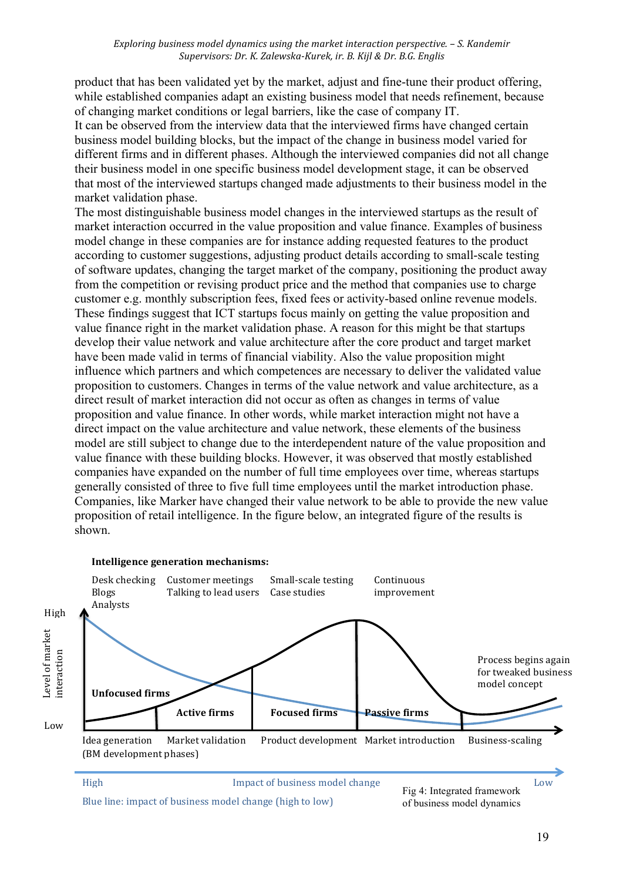product that has been validated yet by the market, adjust and fine-tune their product offering, while established companies adapt an existing business model that needs refinement, because of changing market conditions or legal barriers, like the case of company IT.

It can be observed from the interview data that the interviewed firms have changed certain business model building blocks, but the impact of the change in business model varied for different firms and in different phases. Although the interviewed companies did not all change their business model in one specific business model development stage, it can be observed that most of the interviewed startups changed made adjustments to their business model in the market validation phase.

The most distinguishable business model changes in the interviewed startups as the result of market interaction occurred in the value proposition and value finance. Examples of business model change in these companies are for instance adding requested features to the product according to customer suggestions, adjusting product details according to small-scale testing of software updates, changing the target market of the company, positioning the product away from the competition or revising product price and the method that companies use to charge customer e.g. monthly subscription fees, fixed fees or activity-based online revenue models. These findings suggest that ICT startups focus mainly on getting the value proposition and value finance right in the market validation phase. A reason for this might be that startups develop their value network and value architecture after the core product and target market have been made valid in terms of financial viability. Also the value proposition might influence which partners and which competences are necessary to deliver the validated value proposition to customers. Changes in terms of the value network and value architecture, as a direct result of market interaction did not occur as often as changes in terms of value proposition and value finance. In other words, while market interaction might not have a direct impact on the value architecture and value network, these elements of the business model are still subject to change due to the interdependent nature of the value proposition and value finance with these building blocks. However, it was observed that mostly established companies have expanded on the number of full time employees over time, whereas startups generally consisted of three to five full time employees until the market introduction phase. Companies, like Marker have changed their value network to be able to provide the new value proposition of retail intelligence. In the figure below, an integrated figure of the results is shown.

#### **Intelligence generation mechanisms:**



Blue line: impact of business model change (high to low)

of business model dynamics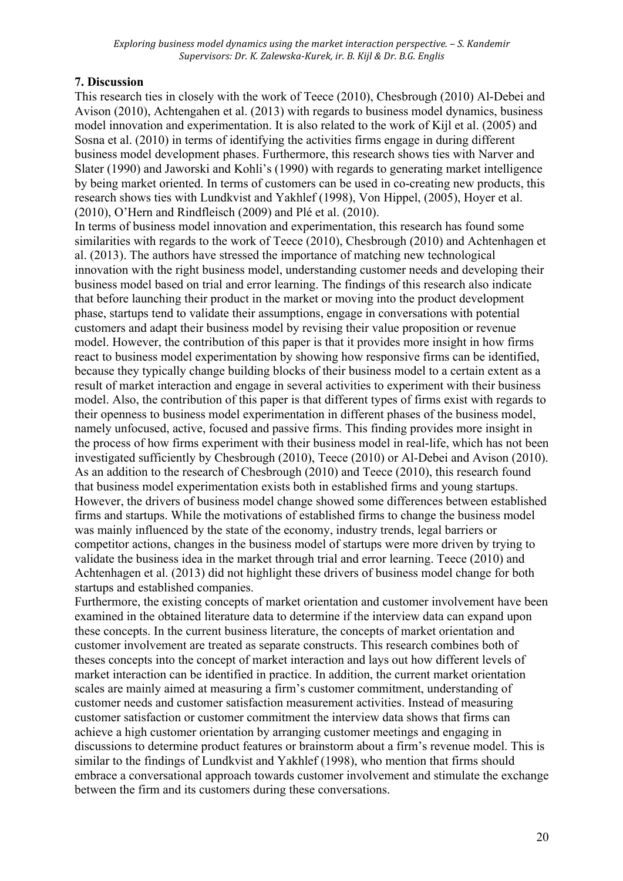# **7. Discussion**

This research ties in closely with the work of Teece (2010), Chesbrough (2010) Al-Debei and Avison (2010), Achtengahen et al. (2013) with regards to business model dynamics, business model innovation and experimentation. It is also related to the work of Kijl et al. (2005) and Sosna et al. (2010) in terms of identifying the activities firms engage in during different business model development phases. Furthermore, this research shows ties with Narver and Slater (1990) and Jaworski and Kohli's (1990) with regards to generating market intelligence by being market oriented. In terms of customers can be used in co-creating new products, this research shows ties with Lundkvist and Yakhlef (1998), Von Hippel, (2005), Hoyer et al. (2010), O'Hern and Rindfleisch (2009) and Plé et al. (2010).

In terms of business model innovation and experimentation, this research has found some similarities with regards to the work of Teece (2010), Chesbrough (2010) and Achtenhagen et al. (2013). The authors have stressed the importance of matching new technological innovation with the right business model, understanding customer needs and developing their business model based on trial and error learning. The findings of this research also indicate that before launching their product in the market or moving into the product development phase, startups tend to validate their assumptions, engage in conversations with potential customers and adapt their business model by revising their value proposition or revenue model. However, the contribution of this paper is that it provides more insight in how firms react to business model experimentation by showing how responsive firms can be identified, because they typically change building blocks of their business model to a certain extent as a result of market interaction and engage in several activities to experiment with their business model. Also, the contribution of this paper is that different types of firms exist with regards to their openness to business model experimentation in different phases of the business model, namely unfocused, active, focused and passive firms. This finding provides more insight in the process of how firms experiment with their business model in real-life, which has not been investigated sufficiently by Chesbrough (2010), Teece (2010) or Al-Debei and Avison (2010). As an addition to the research of Chesbrough (2010) and Teece (2010), this research found that business model experimentation exists both in established firms and young startups. However, the drivers of business model change showed some differences between established firms and startups. While the motivations of established firms to change the business model was mainly influenced by the state of the economy, industry trends, legal barriers or competitor actions, changes in the business model of startups were more driven by trying to validate the business idea in the market through trial and error learning. Teece (2010) and Achtenhagen et al. (2013) did not highlight these drivers of business model change for both startups and established companies.

Furthermore, the existing concepts of market orientation and customer involvement have been examined in the obtained literature data to determine if the interview data can expand upon these concepts. In the current business literature, the concepts of market orientation and customer involvement are treated as separate constructs. This research combines both of theses concepts into the concept of market interaction and lays out how different levels of market interaction can be identified in practice. In addition, the current market orientation scales are mainly aimed at measuring a firm's customer commitment, understanding of customer needs and customer satisfaction measurement activities. Instead of measuring customer satisfaction or customer commitment the interview data shows that firms can achieve a high customer orientation by arranging customer meetings and engaging in discussions to determine product features or brainstorm about a firm's revenue model. This is similar to the findings of Lundkvist and Yakhlef (1998), who mention that firms should embrace a conversational approach towards customer involvement and stimulate the exchange between the firm and its customers during these conversations.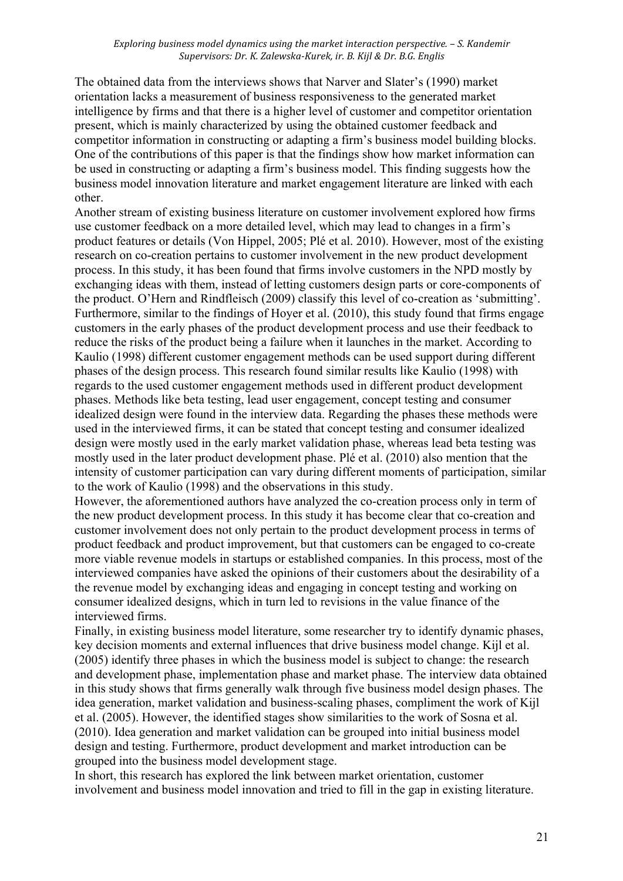The obtained data from the interviews shows that Narver and Slater's (1990) market orientation lacks a measurement of business responsiveness to the generated market intelligence by firms and that there is a higher level of customer and competitor orientation present, which is mainly characterized by using the obtained customer feedback and competitor information in constructing or adapting a firm's business model building blocks. One of the contributions of this paper is that the findings show how market information can be used in constructing or adapting a firm's business model. This finding suggests how the business model innovation literature and market engagement literature are linked with each other.

Another stream of existing business literature on customer involvement explored how firms use customer feedback on a more detailed level, which may lead to changes in a firm's product features or details (Von Hippel, 2005; Plé et al. 2010). However, most of the existing research on co-creation pertains to customer involvement in the new product development process. In this study, it has been found that firms involve customers in the NPD mostly by exchanging ideas with them, instead of letting customers design parts or core-components of the product. O'Hern and Rindfleisch (2009) classify this level of co-creation as 'submitting'. Furthermore, similar to the findings of Hoyer et al. (2010), this study found that firms engage customers in the early phases of the product development process and use their feedback to reduce the risks of the product being a failure when it launches in the market. According to Kaulio (1998) different customer engagement methods can be used support during different phases of the design process. This research found similar results like Kaulio (1998) with regards to the used customer engagement methods used in different product development phases. Methods like beta testing, lead user engagement, concept testing and consumer idealized design were found in the interview data. Regarding the phases these methods were used in the interviewed firms, it can be stated that concept testing and consumer idealized design were mostly used in the early market validation phase, whereas lead beta testing was mostly used in the later product development phase. Plé et al. (2010) also mention that the intensity of customer participation can vary during different moments of participation, similar to the work of Kaulio (1998) and the observations in this study.

However, the aforementioned authors have analyzed the co-creation process only in term of the new product development process. In this study it has become clear that co-creation and customer involvement does not only pertain to the product development process in terms of product feedback and product improvement, but that customers can be engaged to co-create more viable revenue models in startups or established companies. In this process, most of the interviewed companies have asked the opinions of their customers about the desirability of a the revenue model by exchanging ideas and engaging in concept testing and working on consumer idealized designs, which in turn led to revisions in the value finance of the interviewed firms.

Finally, in existing business model literature, some researcher try to identify dynamic phases, key decision moments and external influences that drive business model change. Kijl et al. (2005) identify three phases in which the business model is subject to change: the research and development phase, implementation phase and market phase. The interview data obtained in this study shows that firms generally walk through five business model design phases. The idea generation, market validation and business-scaling phases, compliment the work of Kijl et al. (2005). However, the identified stages show similarities to the work of Sosna et al. (2010). Idea generation and market validation can be grouped into initial business model design and testing. Furthermore, product development and market introduction can be grouped into the business model development stage.

In short, this research has explored the link between market orientation, customer involvement and business model innovation and tried to fill in the gap in existing literature.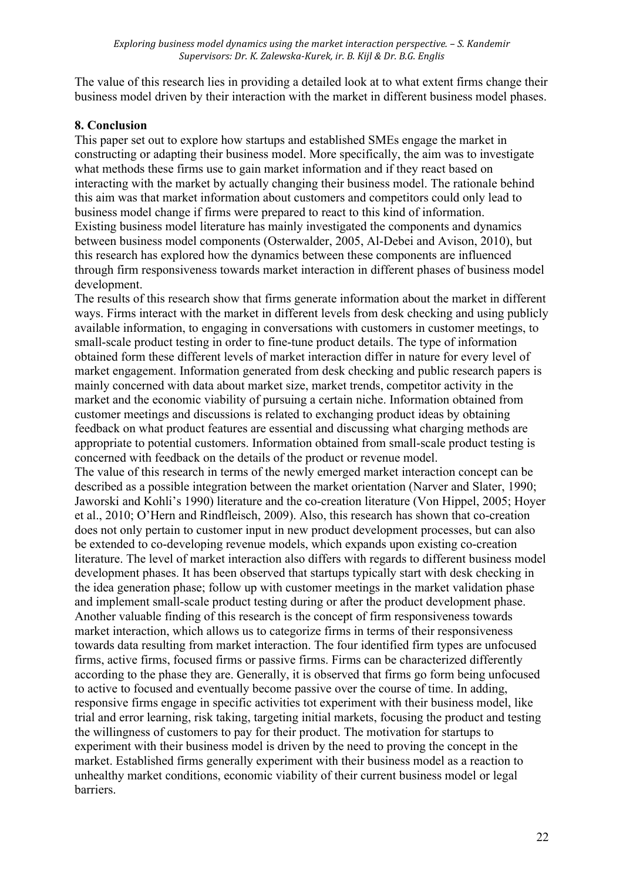The value of this research lies in providing a detailed look at to what extent firms change their business model driven by their interaction with the market in different business model phases.

# **8. Conclusion**

This paper set out to explore how startups and established SMEs engage the market in constructing or adapting their business model. More specifically, the aim was to investigate what methods these firms use to gain market information and if they react based on interacting with the market by actually changing their business model. The rationale behind this aim was that market information about customers and competitors could only lead to business model change if firms were prepared to react to this kind of information. Existing business model literature has mainly investigated the components and dynamics between business model components (Osterwalder, 2005, Al-Debei and Avison, 2010), but this research has explored how the dynamics between these components are influenced through firm responsiveness towards market interaction in different phases of business model development.

The results of this research show that firms generate information about the market in different ways. Firms interact with the market in different levels from desk checking and using publicly available information, to engaging in conversations with customers in customer meetings, to small-scale product testing in order to fine-tune product details. The type of information obtained form these different levels of market interaction differ in nature for every level of market engagement. Information generated from desk checking and public research papers is mainly concerned with data about market size, market trends, competitor activity in the market and the economic viability of pursuing a certain niche. Information obtained from customer meetings and discussions is related to exchanging product ideas by obtaining feedback on what product features are essential and discussing what charging methods are appropriate to potential customers. Information obtained from small-scale product testing is concerned with feedback on the details of the product or revenue model.

The value of this research in terms of the newly emerged market interaction concept can be described as a possible integration between the market orientation (Narver and Slater, 1990; Jaworski and Kohli's 1990) literature and the co-creation literature (Von Hippel, 2005; Hoyer et al., 2010; O'Hern and Rindfleisch, 2009). Also, this research has shown that co-creation does not only pertain to customer input in new product development processes, but can also be extended to co-developing revenue models, which expands upon existing co-creation literature. The level of market interaction also differs with regards to different business model development phases. It has been observed that startups typically start with desk checking in the idea generation phase; follow up with customer meetings in the market validation phase and implement small-scale product testing during or after the product development phase. Another valuable finding of this research is the concept of firm responsiveness towards market interaction, which allows us to categorize firms in terms of their responsiveness towards data resulting from market interaction. The four identified firm types are unfocused firms, active firms, focused firms or passive firms. Firms can be characterized differently according to the phase they are. Generally, it is observed that firms go form being unfocused to active to focused and eventually become passive over the course of time. In adding, responsive firms engage in specific activities tot experiment with their business model, like trial and error learning, risk taking, targeting initial markets, focusing the product and testing the willingness of customers to pay for their product. The motivation for startups to experiment with their business model is driven by the need to proving the concept in the market. Established firms generally experiment with their business model as a reaction to unhealthy market conditions, economic viability of their current business model or legal barriers.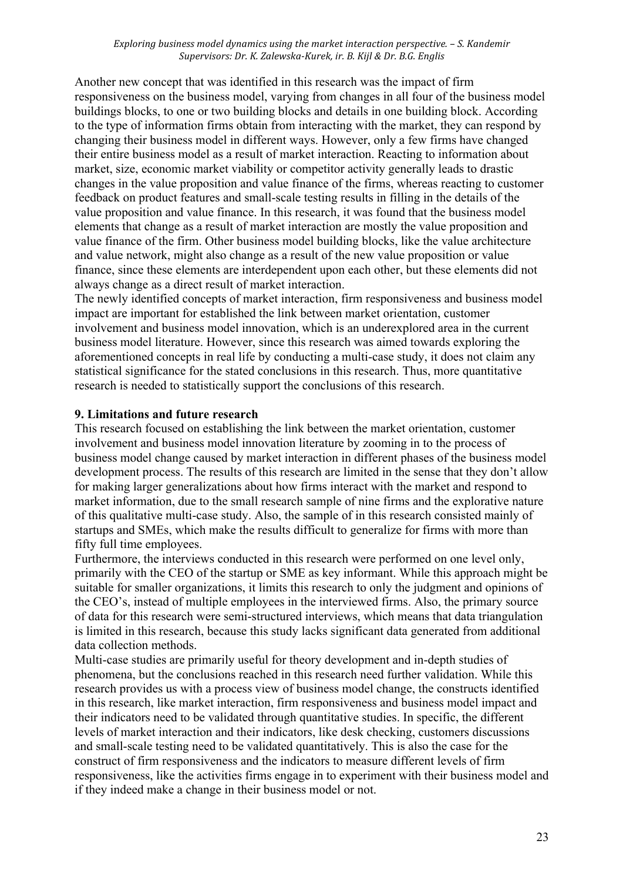Another new concept that was identified in this research was the impact of firm responsiveness on the business model, varying from changes in all four of the business model buildings blocks, to one or two building blocks and details in one building block. According to the type of information firms obtain from interacting with the market, they can respond by changing their business model in different ways. However, only a few firms have changed their entire business model as a result of market interaction. Reacting to information about market, size, economic market viability or competitor activity generally leads to drastic changes in the value proposition and value finance of the firms, whereas reacting to customer feedback on product features and small-scale testing results in filling in the details of the value proposition and value finance. In this research, it was found that the business model elements that change as a result of market interaction are mostly the value proposition and value finance of the firm. Other business model building blocks, like the value architecture and value network, might also change as a result of the new value proposition or value finance, since these elements are interdependent upon each other, but these elements did not always change as a direct result of market interaction.

The newly identified concepts of market interaction, firm responsiveness and business model impact are important for established the link between market orientation, customer involvement and business model innovation, which is an underexplored area in the current business model literature. However, since this research was aimed towards exploring the aforementioned concepts in real life by conducting a multi-case study, it does not claim any statistical significance for the stated conclusions in this research. Thus, more quantitative research is needed to statistically support the conclusions of this research.

## **9. Limitations and future research**

This research focused on establishing the link between the market orientation, customer involvement and business model innovation literature by zooming in to the process of business model change caused by market interaction in different phases of the business model development process. The results of this research are limited in the sense that they don't allow for making larger generalizations about how firms interact with the market and respond to market information, due to the small research sample of nine firms and the explorative nature of this qualitative multi-case study. Also, the sample of in this research consisted mainly of startups and SMEs, which make the results difficult to generalize for firms with more than fifty full time employees.

Furthermore, the interviews conducted in this research were performed on one level only, primarily with the CEO of the startup or SME as key informant. While this approach might be suitable for smaller organizations, it limits this research to only the judgment and opinions of the CEO's, instead of multiple employees in the interviewed firms. Also, the primary source of data for this research were semi-structured interviews, which means that data triangulation is limited in this research, because this study lacks significant data generated from additional data collection methods.

Multi-case studies are primarily useful for theory development and in-depth studies of phenomena, but the conclusions reached in this research need further validation. While this research provides us with a process view of business model change, the constructs identified in this research, like market interaction, firm responsiveness and business model impact and their indicators need to be validated through quantitative studies. In specific, the different levels of market interaction and their indicators, like desk checking, customers discussions and small-scale testing need to be validated quantitatively. This is also the case for the construct of firm responsiveness and the indicators to measure different levels of firm responsiveness, like the activities firms engage in to experiment with their business model and if they indeed make a change in their business model or not.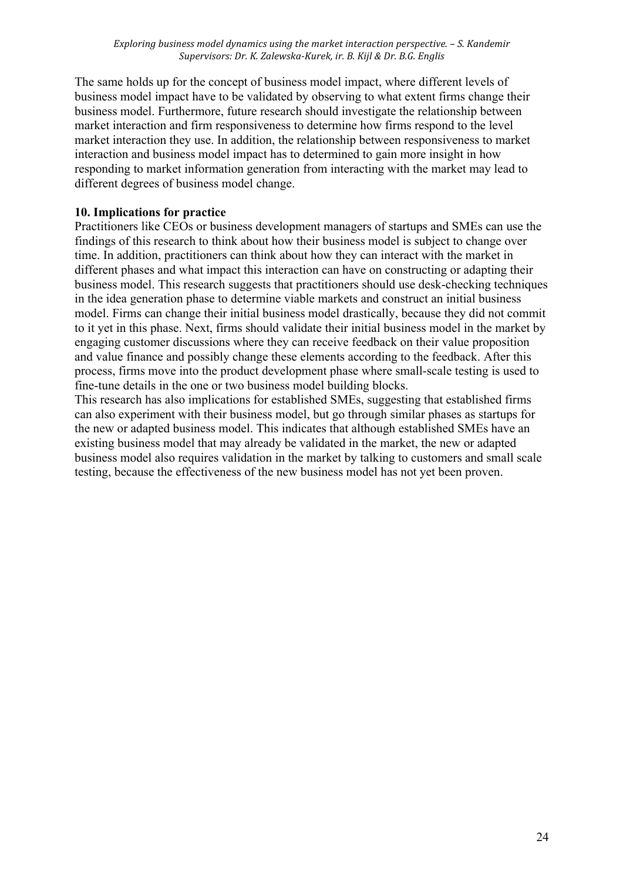The same holds up for the concept of business model impact, where different levels of business model impact have to be validated by observing to what extent firms change their business model. Furthermore, future research should investigate the relationship between market interaction and firm responsiveness to determine how firms respond to the level market interaction they use. In addition, the relationship between responsiveness to market interaction and business model impact has to determined to gain more insight in how responding to market information generation from interacting with the market may lead to different degrees of business model change.

# **10. Implications for practice**

Practitioners like CEOs or business development managers of startups and SMEs can use the findings of this research to think about how their business model is subject to change over time. In addition, practitioners can think about how they can interact with the market in different phases and what impact this interaction can have on constructing or adapting their business model. This research suggests that practitioners should use desk-checking techniques in the idea generation phase to determine viable markets and construct an initial business model. Firms can change their initial business model drastically, because they did not commit to it yet in this phase. Next, firms should validate their initial business model in the market by engaging customer discussions where they can receive feedback on their value proposition and value finance and possibly change these elements according to the feedback. After this process, firms move into the product development phase where small-scale testing is used to fine-tune details in the one or two business model building blocks.

This research has also implications for established SMEs, suggesting that established firms can also experiment with their business model, but go through similar phases as startups for the new or adapted business model. This indicates that although established SMEs have an existing business model that may already be validated in the market, the new or adapted business model also requires validation in the market by talking to customers and small scale testing, because the effectiveness of the new business model has not yet been proven.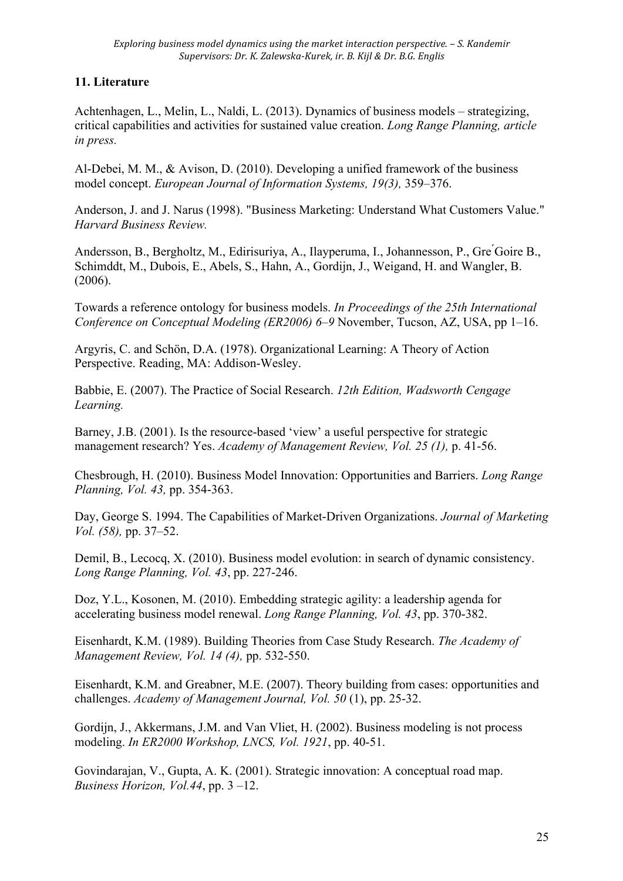# **11. Literature**

Achtenhagen, L., Melin, L., Naldi, L. (2013). Dynamics of business models – strategizing, critical capabilities and activities for sustained value creation. *Long Range Planning, article in press.*

Al-Debei, M. M., & Avison, D. (2010). Developing a unified framework of the business model concept. *European Journal of Information Systems, 19(3),* 359–376.

Anderson, J. and J. Narus (1998). "Business Marketing: Understand What Customers Value." *Harvard Business Review.*

Andersson, B., Bergholtz, M., Edirisuriya, A., Ilayperuma, I., Johannesson, P., Gre ́Goire B., Schimddt, M., Dubois, E., Abels, S., Hahn, A., Gordijn, J., Weigand, H. and Wangler, B. (2006).

Towards a reference ontology for business models. *In Proceedings of the 25th International Conference on Conceptual Modeling (ER2006) 6–9* November, Tucson, AZ, USA, pp 1–16.

Argyris, C. and Schön, D.A. (1978). Organizational Learning: A Theory of Action Perspective. Reading, MA: Addison-Wesley.

Babbie, E. (2007). The Practice of Social Research. *12th Edition, Wadsworth Cengage Learning.*

Barney, J.B. (2001). Is the resource-based 'view' a useful perspective for strategic management research? Yes. *Academy of Management Review, Vol. 25 (1),* p. 41-56.

Chesbrough, H. (2010). Business Model Innovation: Opportunities and Barriers. *Long Range Planning, Vol. 43,* pp. 354-363.

Day, George S. 1994. The Capabilities of Market-Driven Organizations. *Journal of Marketing Vol. (58),* pp. 37–52.

Demil, B., Lecocq, X. (2010). Business model evolution: in search of dynamic consistency. *Long Range Planning, Vol. 43*, pp. 227-246.

Doz, Y.L., Kosonen, M. (2010). Embedding strategic agility: a leadership agenda for accelerating business model renewal. *Long Range Planning, Vol. 43*, pp. 370-382.

Eisenhardt, K.M. (1989). Building Theories from Case Study Research. *The Academy of Management Review, Vol. 14 (4),* pp. 532-550.

Eisenhardt, K.M. and Greabner, M.E. (2007). Theory building from cases: opportunities and challenges. *Academy of Management Journal, Vol. 50* (1), pp. 25-32.

Gordijn, J., Akkermans, J.M. and Van Vliet, H. (2002). Business modeling is not process modeling. *In ER2000 Workshop, LNCS, Vol. 1921*, pp. 40-51.

Govindarajan, V., Gupta, A. K. (2001). Strategic innovation: A conceptual road map. *Business Horizon, Vol.44*, pp. 3 –12.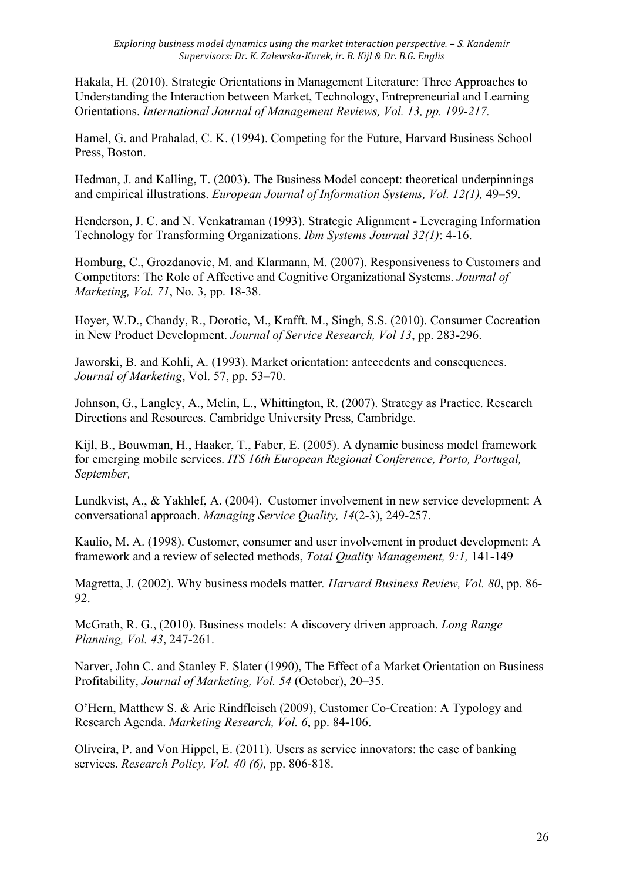Hakala, H. (2010). Strategic Orientations in Management Literature: Three Approaches to Understanding the Interaction between Market, Technology, Entrepreneurial and Learning Orientations. *International Journal of Management Reviews, Vol. 13, pp. 199-217.* 

Hamel, G. and Prahalad, C. K. (1994). Competing for the Future, Harvard Business School Press, Boston.

Hedman, J. and Kalling, T. (2003). The Business Model concept: theoretical underpinnings and empirical illustrations. *European Journal of Information Systems, Vol. 12(1),* 49–59.

Henderson, J. C. and N. Venkatraman (1993). Strategic Alignment - Leveraging Information Technology for Transforming Organizations. *Ibm Systems Journal 32(1)*: 4-16.

Homburg, C., Grozdanovic, M. and Klarmann, M. (2007). Responsiveness to Customers and Competitors: The Role of Affective and Cognitive Organizational Systems. *Journal of Marketing, Vol. 71*, No. 3, pp. 18-38.

Hoyer, W.D., Chandy, R., Dorotic, M., Krafft. M., Singh, S.S. (2010). Consumer Cocreation in New Product Development. *Journal of Service Research, Vol 13*, pp. 283-296.

Jaworski, B. and Kohli, A. (1993). Market orientation: antecedents and consequences. *Journal of Marketing*, Vol. 57, pp. 53–70.

Johnson, G., Langley, A., Melin, L., Whittington, R. (2007). Strategy as Practice. Research Directions and Resources. Cambridge University Press, Cambridge.

Kijl, B., Bouwman, H., Haaker, T., Faber, E. (2005). A dynamic business model framework for emerging mobile services. *ITS 16th European Regional Conference, Porto, Portugal, September,*

Lundkvist, A., & Yakhlef, A. (2004). Customer involvement in new service development: A conversational approach. *Managing Service Quality, 14*(2-3), 249-257.

Kaulio, M. A. (1998). Customer, consumer and user involvement in product development: A framework and a review of selected methods, *Total Quality Management, 9:1,* 141-149

Magretta, J. (2002). Why business models matter*. Harvard Business Review, Vol. 80*, pp. 86- 92.

McGrath, R. G., (2010). Business models: A discovery driven approach. *Long Range Planning, Vol. 43*, 247-261.

Narver, John C. and Stanley F. Slater (1990), The Effect of a Market Orientation on Business Profitability, *Journal of Marketing, Vol. 54* (October), 20–35.

O'Hern, Matthew S. & Aric Rindfleisch (2009), Customer Co-Creation: A Typology and Research Agenda. *Marketing Research, Vol. 6*, pp. 84-106.

Oliveira, P. and Von Hippel, E. (2011). Users as service innovators: the case of banking services. *Research Policy, Vol. 40 (6),* pp. 806-818.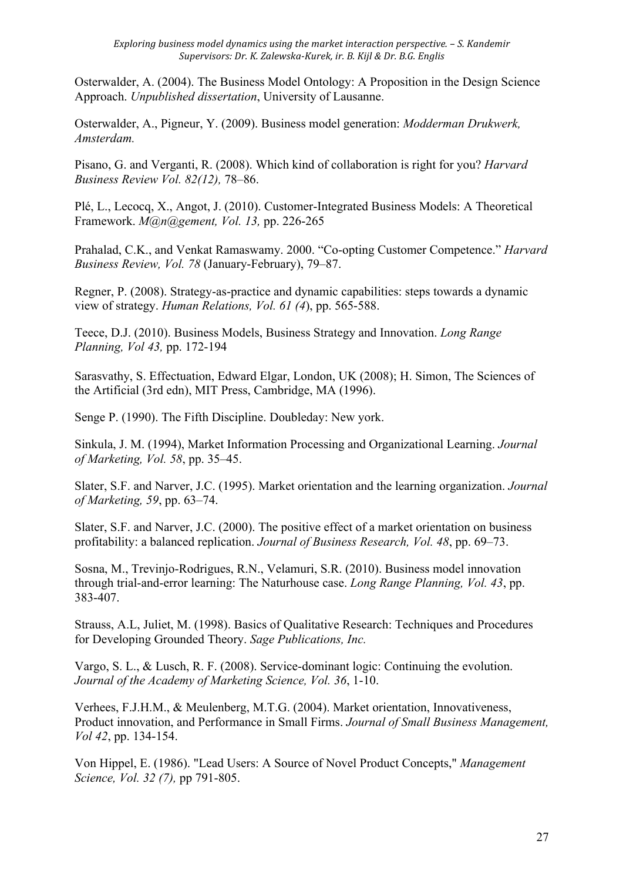Osterwalder, A. (2004). The Business Model Ontology: A Proposition in the Design Science Approach. *Unpublished dissertation*, University of Lausanne.

Osterwalder, A., Pigneur, Y. (2009). Business model generation: *Modderman Drukwerk, Amsterdam.*

Pisano, G. and Verganti, R. (2008). Which kind of collaboration is right for you? *Harvard Business Review Vol. 82(12),* 78–86.

Plé, L., Lecocq, X., Angot, J. (2010). Customer-Integrated Business Models: A Theoretical Framework. *M@n@gement, Vol. 13,* pp. 226-265

Prahalad, C.K., and Venkat Ramaswamy. 2000. "Co-opting Customer Competence." *Harvard Business Review, Vol. 78* (January-February), 79–87.

Regner, P. (2008). Strategy-as-practice and dynamic capabilities: steps towards a dynamic view of strategy. *Human Relations, Vol. 61 (4*), pp. 565-588.

Teece, D.J. (2010). Business Models, Business Strategy and Innovation. *Long Range Planning, Vol 43,* pp. 172-194

Sarasvathy, S. Effectuation, Edward Elgar, London, UK (2008); H. Simon, The Sciences of the Artificial (3rd edn), MIT Press, Cambridge, MA (1996).

Senge P. (1990). The Fifth Discipline. Doubleday: New york.

Sinkula, J. M. (1994), Market Information Processing and Organizational Learning. *Journal of Marketing, Vol. 58*, pp. 35–45.

Slater, S.F. and Narver, J.C. (1995). Market orientation and the learning organization. *Journal of Marketing, 59*, pp. 63–74.

Slater, S.F. and Narver, J.C. (2000). The positive effect of a market orientation on business profitability: a balanced replication. *Journal of Business Research, Vol. 48*, pp. 69–73.

Sosna, M., Trevinjo-Rodrigues, R.N., Velamuri, S.R. (2010). Business model innovation through trial-and-error learning: The Naturhouse case. *Long Range Planning, Vol. 43*, pp. 383-407.

Strauss, A.L, Juliet, M. (1998). Basics of Qualitative Research: Techniques and Procedures for Developing Grounded Theory. *Sage Publications, Inc.*

Vargo, S. L., & Lusch, R. F. (2008). Service-dominant logic: Continuing the evolution. *Journal of the Academy of Marketing Science, Vol. 36*, 1-10.

Verhees, F.J.H.M., & Meulenberg, M.T.G. (2004). Market orientation, Innovativeness, Product innovation, and Performance in Small Firms. *Journal of Small Business Management, Vol 42*, pp. 134-154.

Von Hippel, E. (1986). "Lead Users: A Source of Novel Product Concepts," *Management Science, Vol. 32 (7),* pp 791-805.